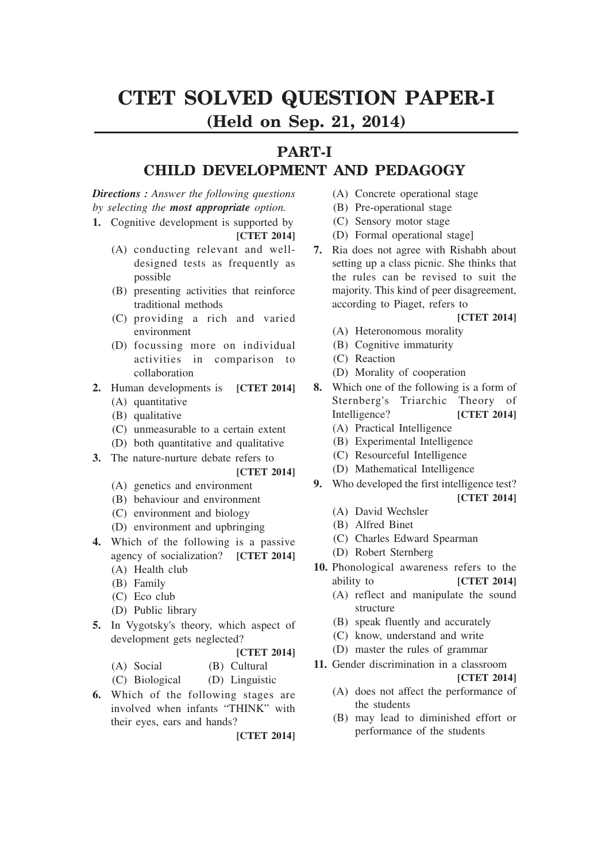# **CTET SOLVED QUESTION PAPER-I (Held on Sep. 21, 2014)**

## **PART-I**

## **CHILD DEVELOPMENT AND PEDAGOGY**

*Directions : Answer the following questions by selecting the most appropriate option.*

- **1.** Cognitive development is supported by **[CTET 2014]**
	- (A) conducting relevant and welldesigned tests as frequently as possible
	- (B) presenting activities that reinforce traditional methods
	- (C) providing a rich and varied environment
	- (D) focussing more on individual activities in comparison to collaboration
- **2.** Human developments is **[CTET 2014]**
	- (A) quantitative
	- (B) qualitative
	- (C) unmeasurable to a certain extent
	- (D) both quantitative and qualitative
- **3.** The nature-nurture debate refers to

### **[CTET 2014]**

- (A) genetics and environment
- (B) behaviour and environment
- (C) environment and biology
- (D) environment and upbringing
- **4.** Which of the following is a passive agency of socialization? **[CTET 2014]** (A) Health club
	- (B) Family
	- (C) Eco club
	- (D) Public library
- **5.** In Vygotsky's theory, which aspect of development gets neglected?
	- **[CTET 2014]**

| (A) Social     | (B) Cultural   |
|----------------|----------------|
| (C) Biological | (D) Linguistic |

**6.** Which of the following stages are involved when infants "THINK" with their eyes, ears and hands?

**[CTET 2014]**

- (A) Concrete operational stage
- (B) Pre-operational stage
- (C) Sensory motor stage
- (D) Formal operational stage]
- **7.** Ria does not agree with Rishabh about setting up a class picnic. She thinks that the rules can be revised to suit the majority. This kind of peer disagreement, according to Piaget, refers to

### **[CTET 2014]**

- (A) Heteronomous morality
- (B) Cognitive immaturity
- (C) Reaction
- (D) Morality of cooperation
- **8.** Which one of the following is a form of Sternberg's Triarchic Theory of Intelligence? **[CTET 2014]** (A) Practical Intelligence
	-
	- (B) Experimental Intelligence
	- (C) Resourceful Intelligence
	- (D) Mathematical Intelligence
- **9.** Who developed the first intelligence test? **[CTET 2014]**
	- (A) David Wechsler
	- (B) Alfred Binet
	- (C) Charles Edward Spearman
	- (D) Robert Sternberg
- **10.** Phonological awareness refers to the ability to **[CTET 2014]** 
	- (A) reflect and manipulate the sound structure
	- (B) speak fluently and accurately
	- (C) know, understand and write
	- (D) master the rules of grammar
- **11.** Gender discrimination in a classroom

- (A) does not affect the performance of the students
- (B) may lead to diminished effort or performance of the students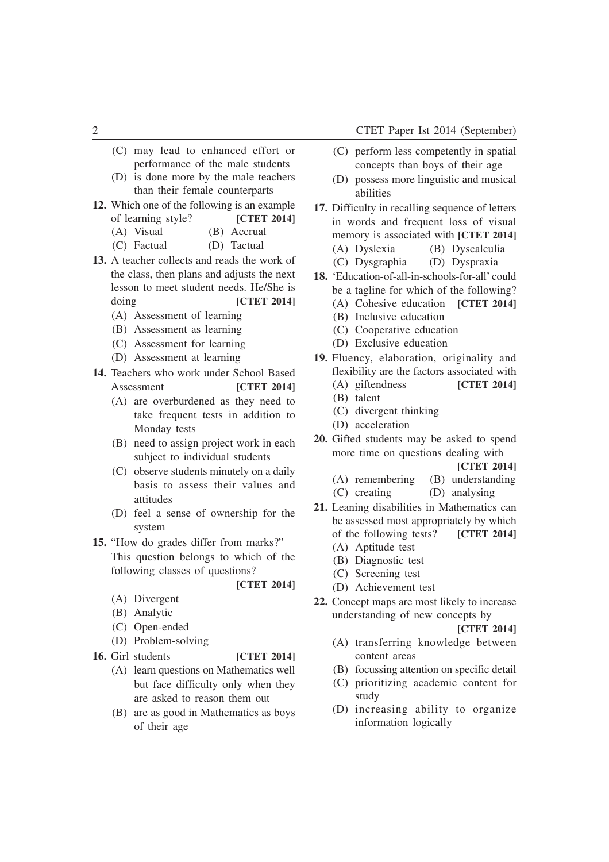- (C) may lead to enhanced effort or performance of the male students
- (D) is done more by the male teachers than their female counterparts
- **12.** Which one of the following is an example of learning style? **[CTET 2014]**
	- (A) Visual (B) Accrual
	- (C) Factual (D) Tactual
- **13.** A teacher collects and reads the work of the class, then plans and adjusts the next lesson to meet student needs. He/She is doing **[CTET 2014]**
	- (A) Assessment of learning
	- (B) Assessment as learning
	- (C) Assessment for learning
	- (D) Assessment at learning
- **14.** Teachers who work under School Based Assessment **[CTET 2014]** 
	- (A) are overburdened as they need to take frequent tests in addition to Monday tests
	- (B) need to assign project work in each subject to individual students
	- (C) observe students minutely on a daily basis to assess their values and attitudes
	- (D) feel a sense of ownership for the system
- **15.** "How do grades differ from marks?" This question belongs to which of the following classes of questions?
	- (A) Divergent
	- (B) Analytic
	- (C) Open-ended
	- (D) Problem-solving
- **16.** Girl students **[CTET 2014]**
	-

**[CTET 2014]**

- (A) learn questions on Mathematics well but face difficulty only when they are asked to reason them out
- (B) are as good in Mathematics as boys of their age
- (C) perform less competently in spatial concepts than boys of their age
- (D) possess more linguistic and musical abilities
- **17.** Difficulty in recalling sequence of letters in words and frequent loss of visual memory is associated with **[CTET 2014]** (A) Dyslexia (B) Dyscalculia
	- (C) Dysgraphia (D) Dyspraxia
- **18.** 'Education-of-all-in-schools-for-all' could be a tagline for which of the following?
	- (A) Cohesive education **[CTET 2014]**
	- (B) Inclusive education
	- (C) Cooperative education
	- (D) Exclusive education
- **19.** Fluency, elaboration, originality and flexibility are the factors associated with
	- (A) giftendness **[CTET 2014]**
	- (B) talent
	- (C) divergent thinking
	- (D) acceleration
- **20.** Gifted students may be asked to spend more time on questions dealing with

**[CTET 2014]**

- (A) remembering (B) understanding (C) creating (D) analysing
- **21.** Leaning disabilities in Mathematics can be assessed most appropriately by which of the following tests? **[CTET 2014]**
	- (A) Aptitude test
	- (B) Diagnostic test
	- (C) Screening test
	- (D) Achievement test
- **22.** Concept maps are most likely to increase understanding of new concepts by

- (A) transferring knowledge between content areas
- (B) focussing attention on specific detail
- (C) prioritizing academic content for study
- (D) increasing ability to organize information logically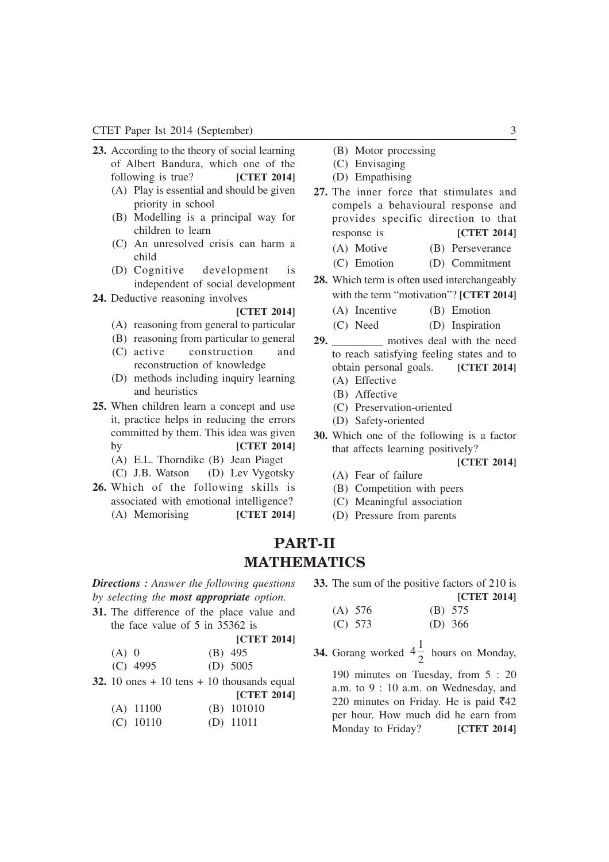- **23.** According to the theory of social learning of Albert Bandura, which one of the following is true? **[CTET 2014]**
	- (A) Play is essential and should be given priority in school
	- (B) Modelling is a principal way for children to learn
	- (C) An unresolved crisis can harm a child
	- (D) Cognitive development is independent of social development
- **24.** Deductive reasoning involves

#### **[CTET 2014]**

- (A) reasoning from general to particular
- (B) reasoning from particular to general (C) active construction and
- reconstruction of knowledge (D) methods including inquiry learning and heuristics
- **25.** When children learn a concept and use it, practice helps in reducing the errors committed by them. This idea was given by **[CTET 2014]**
	- (A) E.L. Thorndike (B) Jean Piaget
	- (C) J.B. Watson (D) Lev Vygotsky
- **26.** Which of the following skills is associated with emotional intelligence? (A) Memorising **[CTET 2014]**
- (B) Motor processing
- (C) Envisaging
- (D) Empathising
- **27.** The inner force that stimulates and compels a behavioural response and provides specific direction to that response is **[CTET 2014]**
	- (A) Motive (B) Perseverance
	- (C) Emotion (D) Commitment
- **28.** Which term is often used interchangeably with the term "motivation"? **[CTET 2014]**
	- (A) Incentive (B) Emotion
	- (C) Need (D) Inspiration
- **29. 29.** motives deal with the need to reach satisfying feeling states and to obtain personal goals. **[CTET 2014]**
	- (A) Effective
	- (B) Affective
	- (C) Preservation-oriented
	- (D) Safety-oriented
- **30.** Which one of the following is a factor that affects learning positively?
	- **[CTET 2014]**
	- (A) Fear of failure
	- (B) Competition with peers
	- (C) Meaningful association
	- (D) Pressure from parents

## **PART-II MATHEMATICS**

*Directions : Answer the following questions by selecting the most appropriate option.*

**31.** The difference of the place value and the face value of 5 in 35362 is

|         | <b>[CTET 2014]</b> |
|---------|--------------------|
| $(A)$ 0 | $(B)$ 495          |

| $(C)$ 4995 | (D) $5005$ |
|------------|------------|
|------------|------------|

**32.** 10 ones  $+10$  tens  $+10$  thousands equal **[CTET 2014]**

|             | 1012120      |  |
|-------------|--------------|--|
| $(A)$ 11100 | $(B)$ 101010 |  |
| $(C)$ 10110 | $(D)$ 11011  |  |

**33.** The sum of the positive factors of 210 is **[CTET 2014]**

| (A) 576   | $(B)$ 575 |  |
|-----------|-----------|--|
| $(C)$ 573 | (D) $366$ |  |

**34.** Gorang worked  $4\frac{1}{2}$ 2 hours on Monday,

190 minutes on Tuesday, from 5 : 20 a.m. to 9 : 10 a.m. on Wednesday, and 220 minutes on Friday. He is paid  $\overline{5}42$ per hour. How much did he earn from Monday to Friday? **[CTET 2014]**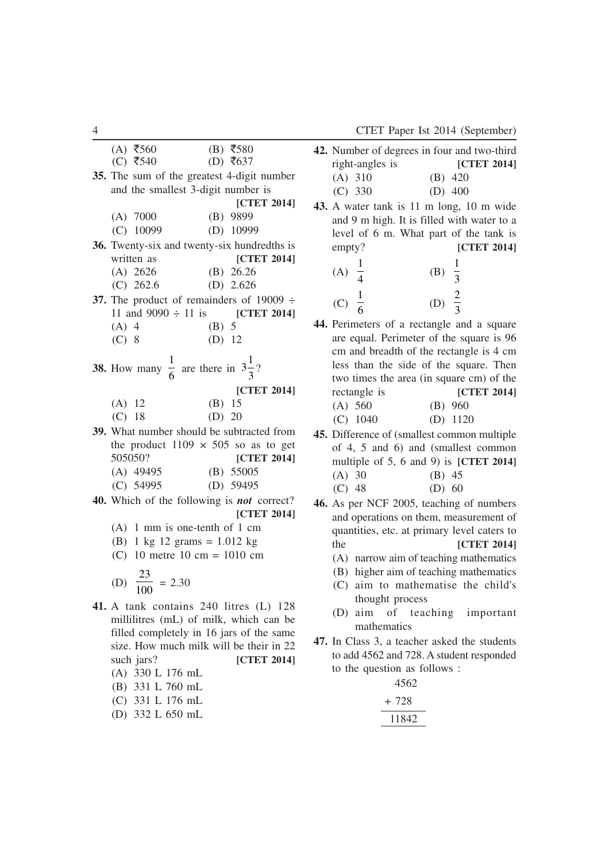|          | $(A)$ ₹560                                                      |         | $(B)$ ₹580         |
|----------|-----------------------------------------------------------------|---------|--------------------|
|          | $(C)$ ₹540                                                      |         | (D) ₹637           |
|          | 35. The sum of the greatest 4-digit number                      |         |                    |
|          | and the smallest 3-digit number is                              |         |                    |
|          |                                                                 |         | [CTET 2014]        |
|          | $(A)$ 7000                                                      |         | (B) 9899           |
|          | $(C)$ 10099                                                     |         | $(D)$ 10999        |
|          | 36. Twenty-six and twenty-six hundredths is                     |         |                    |
|          | written as                                                      |         | [CTET 2014]        |
|          | $(A)$ 2626                                                      |         | (B) $26.26$        |
|          | $(C)$ 262.6                                                     |         | (D) $2.626$        |
|          | 37. The product of remainders of 19009 $\div$                   |         |                    |
|          | 11 and $9090 \div 11$ is [CTET 2014]                            |         |                    |
| $(A)$ 4  |                                                                 | $(B)$ 5 |                    |
| $(C)$ 8  |                                                                 | (D) 12  |                    |
|          |                                                                 |         |                    |
|          | <b>38.</b> How many $\frac{1}{6}$ are there in $3\frac{1}{3}$ ? |         |                    |
|          |                                                                 |         | [CTET 2014]        |
| $(A)$ 12 |                                                                 | (B) 15  |                    |
| (C) 18   |                                                                 | (D) 20  |                    |
|          | 39. What number should be subtracted from                       |         |                    |
|          | the product $1109 \times 505$ so as to get                      |         |                    |
| 505050?  |                                                                 |         | [CTET 2014]        |
|          | $(A)$ 49495                                                     |         |                    |
|          | (B) 550005<br>(D) 59495<br>$(C)$ 54995                          |         |                    |
|          | 40. Which of the following is <b>not</b> correct?               |         |                    |
|          |                                                                 |         | <b>[CTET 2014]</b> |
|          | $(A)$ 1 mm is one-tenth of 1 cm                                 |         |                    |
|          | (B) 1 kg 12 grams = $1.012$ kg                                  |         |                    |

(C) 10 metre 10 cm = 1010 cm

(D) 
$$
\frac{23}{100} = 2.30
$$

- **41.** A tank contains 240 litres (L) 128 millilitres (mL) of milk, which can be filled completely in 16 jars of the same size. How much milk will be their in 22 such jars? **[CTET 2014]** (A) 330 L 176 mL (B) 331 L 760 mL (C) 331 L 176 mL
	- (D) 332 L 650 mL

|                 | <b>42.</b> Number of degrees in four and two-third |
|-----------------|----------------------------------------------------|
| right-angles is | <b>ICTET 20141</b>                                 |
| $(A)$ 310       | $(B)$ 420                                          |
| $(C)$ 330       | (D) $400$                                          |

**43.** A water tank is 11 m long, 10 m wide and 9 m high. It is filled with water to a level of 6 m. What part of the tank is empty? **[CTET 2014]**

| (A) | (B) | $\overline{3}$ |
|-----|-----|----------------|
| (C) | (D) |                |

- **44.** Perimeters of a rectangle and a square are equal. Perimeter of the square is 96 cm and breadth of the rectangle is 4 cm less than the side of the square. Then two times the area (in square cm) of the rectangle is **[CTET 2014]**
	- (A) 560 (B) 960 (C) 1040 (D) 1120
- **45.** Difference of (smallest common multiple of 4, 5 and 6) and (smallest common multiple of 5, 6 and 9) is **[CTET 2014]** (A) 30 (B) 45  $(C)$  48 (D) 60
- **46.** As per NCF 2005, teaching of numbers and operations on them, measurement of quantities, etc. at primary level caters to the **[CTET 2014]**
	- (A) narrow aim of teaching mathematics
	- (B) higher aim of teaching mathematics
	- (C) aim to mathematise the child's thought process
	- (D) aim of teaching important mathematics
- **47.** In Class 3, a teacher asked the students to add 4562 and 728. A student responded to the question as follows :

| 4562  |  |
|-------|--|
| + 728 |  |
| 11842 |  |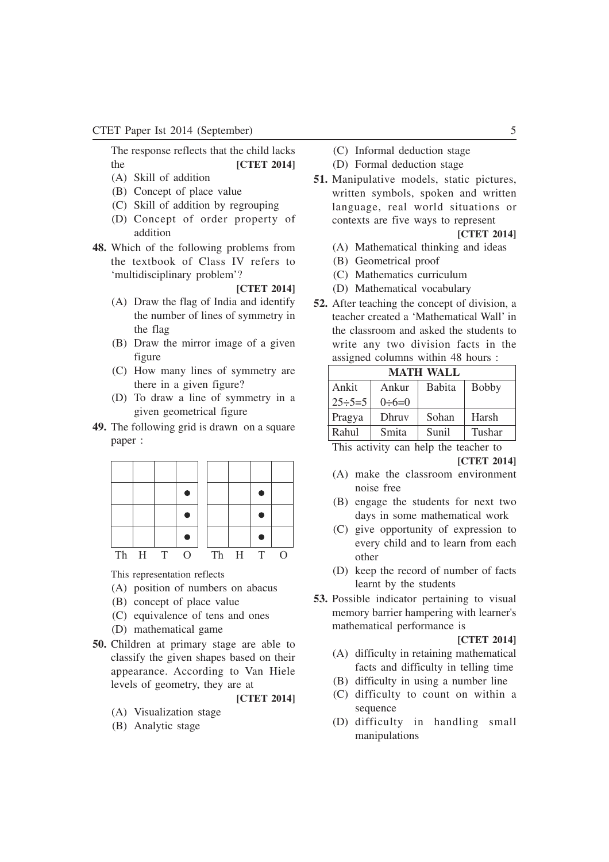### CTET Paper Ist 2014 (September) 5

The response reflects that the child lacks the **[CTET 2014]**

- (A) Skill of addition
- (B) Concept of place value
- (C) Skill of addition by regrouping
- (D) Concept of order property of addition
- **48.** Which of the following problems from the textbook of Class IV refers to 'multidisciplinary problem'?

#### **[CTET 2014]**

- (A) Draw the flag of India and identify the number of lines of symmetry in the flag
- (B) Draw the mirror image of a given figure
- (C) How many lines of symmetry are there in a given figure?
- (D) To draw a line of symmetry in a given geometrical figure
- **49.** The following grid is drawn on a square paper :

| Th H T | $\Omega$ |  | Th H T |  |
|--------|----------|--|--------|--|

This representation reflects

- (A) position of numbers on abacus
- (B) concept of place value
- (C) equivalence of tens and ones
- (D) mathematical game
- **50.** Children at primary stage are able to classify the given shapes based on their appearance. According to Van Hiele levels of geometry, they are at

**[CTET 2014]**

- (A) Visualization stage
- (B) Analytic stage
- (C) Informal deduction stage
- (D) Formal deduction stage
- **51.** Manipulative models, static pictures, written symbols, spoken and written language, real world situations or contexts are five ways to represent

**[CTET 2014]**

- (A) Mathematical thinking and ideas
- (B) Geometrical proof
- (C) Mathematics curriculum
- (D) Mathematical vocabulary
- **52.** After teaching the concept of division, a teacher created a 'Mathematical Wall' in the classroom and asked the students to write any two division facts in the assigned columns within 48 hours :

| <b>MATH WALL</b>                  |                |               |              |  |  |  |
|-----------------------------------|----------------|---------------|--------------|--|--|--|
| Ankit                             | Ankur          | <b>Babita</b> | <b>Bobby</b> |  |  |  |
| $25 \div 5 = 5$                   | $0 \div 6 = 0$ |               |              |  |  |  |
| Pragya                            | Dhruv          | Sohan         | Harsh        |  |  |  |
| Rahul<br>Sunil<br>Smita<br>Tushar |                |               |              |  |  |  |

This activity can help the teacher to

**[CTET 2014]**

- (A) make the classroom environment noise free
- (B) engage the students for next two days in some mathematical work
- (C) give opportunity of expression to every child and to learn from each other
- (D) keep the record of number of facts learnt by the students
- **53.** Possible indicator pertaining to visual memory barrier hampering with learner's mathematical performance is

- (A) difficulty in retaining mathematical facts and difficulty in telling time
- (B) difficulty in using a number line
- (C) difficulty to count on within a sequence
- (D) difficulty in handling small manipulations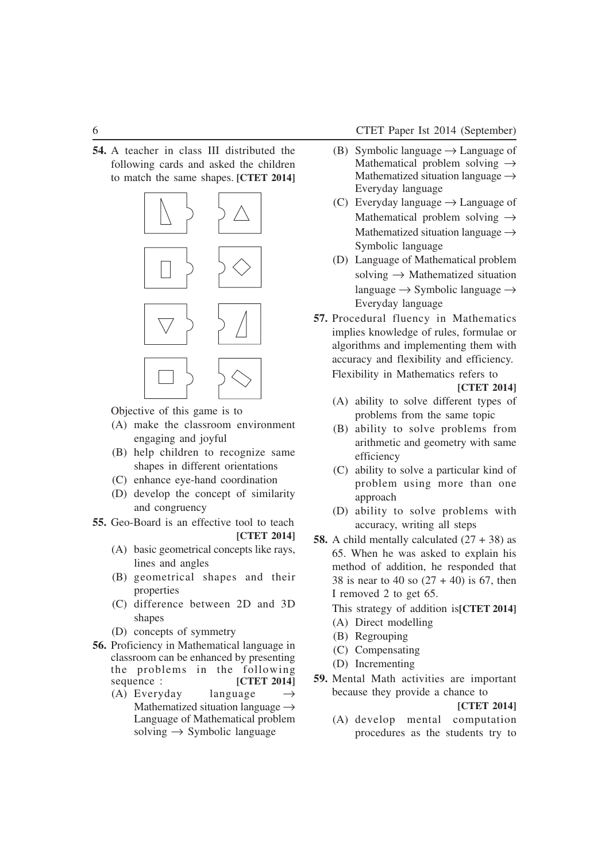**54.** A teacher in class III distributed the following cards and asked the children to match the same shapes. **[CTET 2014]**



Objective of this game is to

- (A) make the classroom environment engaging and joyful
- (B) help children to recognize same shapes in different orientations
- (C) enhance eye-hand coordination
- (D) develop the concept of similarity and congruency
- **55.** Geo-Board is an effective tool to teach **[CTET 2014]**
	- (A) basic geometrical concepts like rays, lines and angles
	- (B) geometrical shapes and their properties
	- (C) difference between 2D and 3D shapes
	- (D) concepts of symmetry
- **56.** Proficiency in Mathematical language in classroom can be enhanced by presenting the problems in the following sequence : **[CTET 2014]** 
	- (A) Everyday language  $\rightarrow$ Mathematized situation language  $\rightarrow$ Language of Mathematical problem solving  $\rightarrow$  Symbolic language
- (B) Symbolic language  $\rightarrow$  Language of Mathematical problem solving  $\rightarrow$ Mathematized situation language  $\rightarrow$ Everyday language
- (C) Everyday language  $\rightarrow$  Language of Mathematical problem solving  $\rightarrow$ Mathematized situation language  $\rightarrow$ Symbolic language
- (D) Language of Mathematical problem solving  $\rightarrow$  Mathematized situation language  $\rightarrow$  Symbolic language  $\rightarrow$ Everyday language
- **57.** Procedural fluency in Mathematics implies knowledge of rules, formulae or algorithms and implementing them with accuracy and flexibility and efficiency. Flexibility in Mathematics refers to

**[CTET 2014]**

- (A) ability to solve different types of problems from the same topic
- (B) ability to solve problems from arithmetic and geometry with same efficiency
- (C) ability to solve a particular kind of problem using more than one approach
- (D) ability to solve problems with accuracy, writing all steps
- **58.** A child mentally calculated  $(27 + 38)$  as 65. When he was asked to explain his method of addition, he responded that 38 is near to 40 so  $(27 + 40)$  is 67, then I removed 2 to get 65.
	- This strategy of addition is**[CTET 2014]**
	- (A) Direct modelling
	- (B) Regrouping
	- (C) Compensating
	- (D) Incrementing
- **59.** Mental Math activities are important because they provide a chance to

**[CTET 2014]**

(A) develop mental computation procedures as the students try to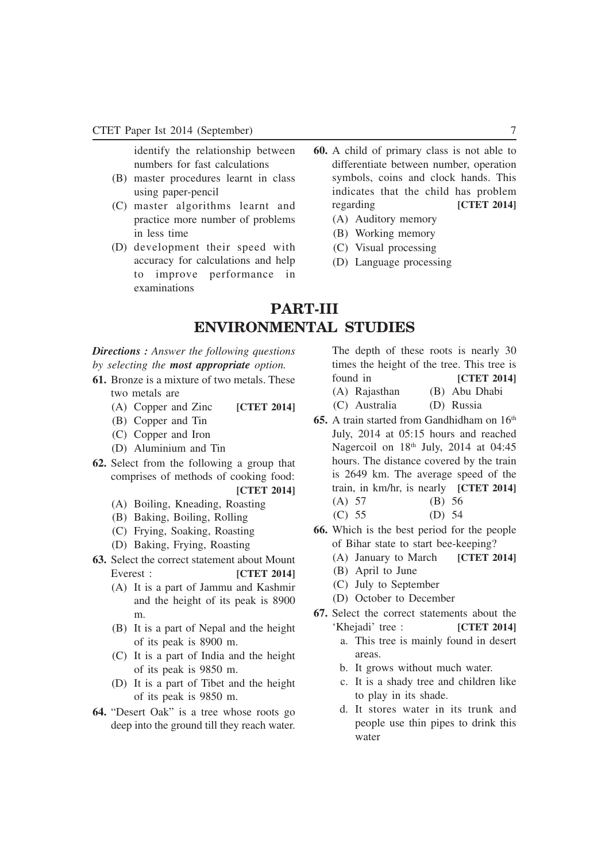identify the relationship between numbers for fast calculations

- (B) master procedures learnt in class using paper-pencil
- (C) master algorithms learnt and practice more number of problems in less time
- (D) development their speed with accuracy for calculations and help to improve performance in examinations
- **60.** A child of primary class is not able to differentiate between number, operation symbols, coins and clock hands. This indicates that the child has problem regarding **[CTET 2014]**
	- (A) Auditory memory
	- (B) Working memory
	- (C) Visual processing
	- (D) Language processing

## **PART-III ENVIRONMENTAL STUDIES**

### *Directions : Answer the following questions by selecting the most appropriate option.*

- **61.** Bronze is a mixture of two metals. These two metals are
	- (A) Copper and Zinc **[CTET 2014]**
	- (B) Copper and Tin
	- (C) Copper and Iron
	- (D) Aluminium and Tin
- **62.** Select from the following a group that comprises of methods of cooking food: **[CTET 2014]**
	- (A) Boiling, Kneading, Roasting
	- (B) Baking, Boiling, Rolling
	- (C) Frying, Soaking, Roasting
	- (D) Baking, Frying, Roasting
- **63.** Select the correct statement about Mount Everest : **[CTET 2014]**
	- (A) It is a part of Jammu and Kashmir and the height of its peak is 8900 m.
	- (B) It is a part of Nepal and the height of its peak is 8900 m.
	- (C) It is a part of India and the height of its peak is 9850 m.
	- (D) It is a part of Tibet and the height of its peak is 9850 m.
- **64.** "Desert Oak" is a tree whose roots go deep into the ground till they reach water.

The depth of these roots is nearly 30 times the height of the tree. This tree is found in **[CTET 2014]** (A) Rajasthan (B) Abu Dhabi

- (C) Australia (D) Russia
- **65.** A train started from Gandhidham on 16<sup>th</sup> July, 2014 at 05:15 hours and reached Nagercoil on  $18<sup>th</sup>$  July, 2014 at 04:45 hours. The distance covered by the train is 2649 km. The average speed of the train, in km/hr, is nearly **[CTET 2014]** (A) 57 (B) 56
	- (C) 55 (D) 54
- **66.** Which is the best period for the people of Bihar state to start bee-keeping?
	- (A) January to March **[CTET 2014]**
	- (B) April to June
	- (C) July to September
	- (D) October to December
- **67.** Select the correct statements about the 'Khejadi' tree : **[CTET 2014]**
	- a. This tree is mainly found in desert areas.
	- b. It grows without much water.
	- c. It is a shady tree and children like to play in its shade.
	- d. It stores water in its trunk and people use thin pipes to drink this water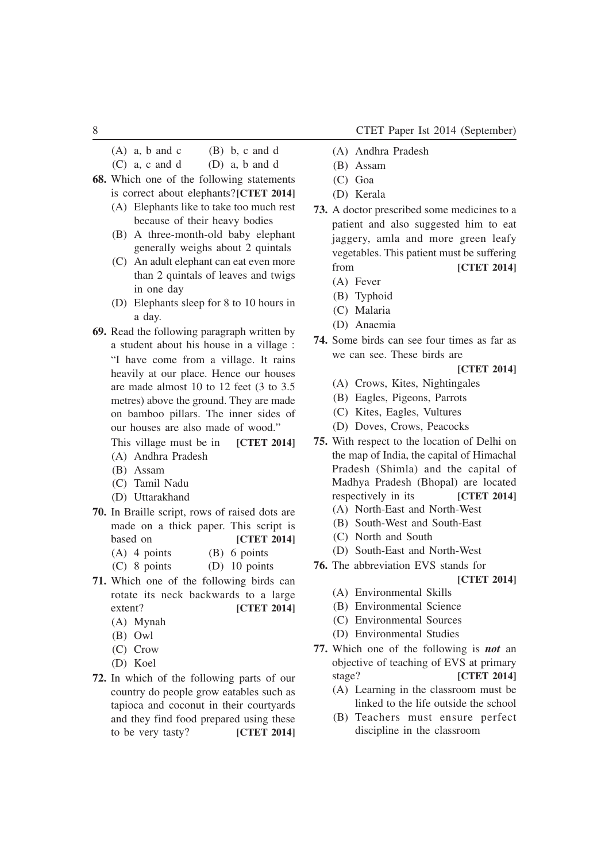(A) a, b and c (B) b, c and d

 $(C)$  a, c and d  $(D)$  a, b and d

- **68.** Which one of the following statements is correct about elephants?**[CTET 2014]**
	- (A) Elephants like to take too much rest because of their heavy bodies
	- (B) A three-month-old baby elephant generally weighs about 2 quintals
	- (C) An adult elephant can eat even more than 2 quintals of leaves and twigs in one day
	- (D) Elephants sleep for 8 to 10 hours in a day.
- **69.** Read the following paragraph written by a student about his house in a village : "I have come from a village. It rains heavily at our place. Hence our houses are made almost 10 to 12 feet (3 to 3.5 metres) above the ground. They are made on bamboo pillars. The inner sides of our houses are also made of wood."

This village must be in **[CTET 2014]**

- (A) Andhra Pradesh
- (B) Assam
- (C) Tamil Nadu
- (D) Uttarakhand
- **70.** In Braille script, rows of raised dots are made on a thick paper. This script is based on **[CTET 2014]**
	- (A) 4 points (B) 6 points
	- (C) 8 points (D) 10 points
- **71.** Which one of the following birds can rotate its neck backwards to a large extent? **[CTET 2014]**
	- (A) Mynah
	- (B) Owl
	- (C) Crow
	- (D) Koel
- **72.** In which of the following parts of our country do people grow eatables such as tapioca and coconut in their courtyards and they find food prepared using these to be very tasty? **[CTET 2014]**
- (A) Andhra Pradesh
- (B) Assam
- (C) Goa
- (D) Kerala
- **73.** A doctor prescribed some medicines to a patient and also suggested him to eat jaggery, amla and more green leafy vegetables. This patient must be suffering from **[CTET 2014]**
	- (A) Fever
	- (B) Typhoid
	- (C) Malaria
	- (D) Anaemia
- **74.** Some birds can see four times as far as we can see. These birds are
	- **[CTET 2014]**
	- (A) Crows, Kites, Nightingales
	- (B) Eagles, Pigeons, Parrots
	- (C) Kites, Eagles, Vultures
	- (D) Doves, Crows, Peacocks
- **75.** With respect to the location of Delhi on the map of India, the capital of Himachal Pradesh (Shimla) and the capital of Madhya Pradesh (Bhopal) are located respectively in its **[CTET 2014]**
	- (A) North-East and North-West
	- (B) South-West and South-East
	- (C) North and South
	- (D) South-East and North-West
- **76.** The abbreviation EVS stands for
	- **[CTET 2014]**
	- (A) Environmental Skills
	- (B) Environmental Science
	- (C) Environmental Sources
	- (D) Environmental Studies
- **77.** Which one of the following is *not* an objective of teaching of EVS at primary stage? **[CTET 2014]**
	- (A) Learning in the classroom must be linked to the life outside the school
	- (B) Teachers must ensure perfect discipline in the classroom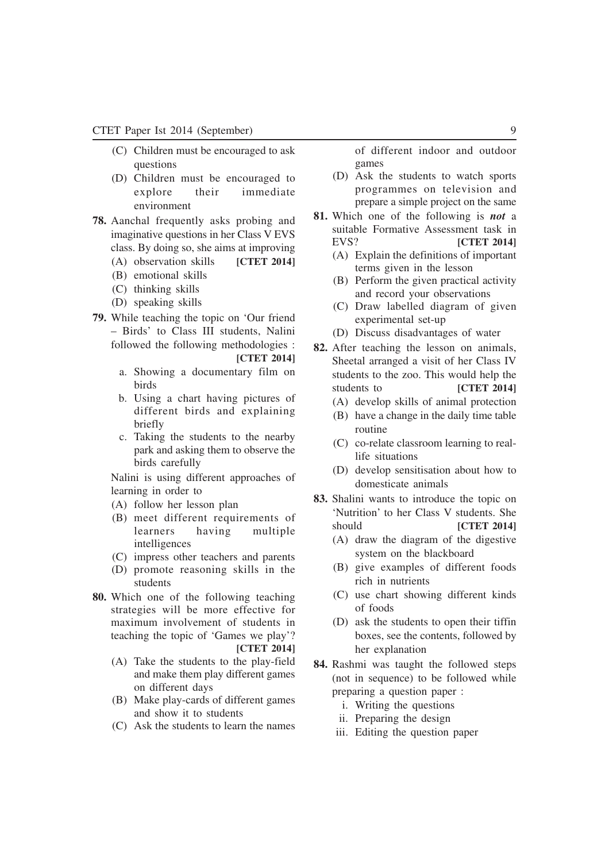- (C) Children must be encouraged to ask questions
- (D) Children must be encouraged to explore their immediate environment
- **78.** Aanchal frequently asks probing and imaginative questions in her Class V EVS class. By doing so, she aims at improving
	- (A) observation skills **[CTET 2014]**
	- (B) emotional skills
	- (C) thinking skills
	- (D) speaking skills
- **79.** While teaching the topic on 'Our friend – Birds' to Class III students, Nalini followed the following methodologies :

**[CTET 2014]**

- a. Showing a documentary film on birds
- b. Using a chart having pictures of different birds and explaining briefly
- c. Taking the students to the nearby park and asking them to observe the birds carefully

Nalini is using different approaches of learning in order to

- (A) follow her lesson plan
- (B) meet different requirements of learners having multiple intelligences
- (C) impress other teachers and parents
- (D) promote reasoning skills in the students
- **80.** Which one of the following teaching strategies will be more effective for maximum involvement of students in teaching the topic of 'Games we play'? **[CTET 2014]**
	- (A) Take the students to the play-field and make them play different games on different days
	- (B) Make play-cards of different games and show it to students
	- (C) Ask the students to learn the names

of different indoor and outdoor games

- (D) Ask the students to watch sports programmes on television and prepare a simple project on the same
- **81.** Which one of the following is *not* a suitable Formative Assessment task in EVS? **[CTET 2014]**
	- (A) Explain the definitions of important terms given in the lesson
	- (B) Perform the given practical activity and record your observations
	- (C) Draw labelled diagram of given experimental set-up
	- (D) Discuss disadvantages of water
- **82.** After teaching the lesson on animals, Sheetal arranged a visit of her Class IV students to the zoo. This would help the students to **[CTET 2014]** 
	- (A) develop skills of animal protection
	- (B) have a change in the daily time table routine
	- (C) co-relate classroom learning to reallife situations
	- (D) develop sensitisation about how to domesticate animals
- **83.** Shalini wants to introduce the topic on 'Nutrition' to her Class V students. She should **[CTET 2014]** 
	- (A) draw the diagram of the digestive system on the blackboard
	- (B) give examples of different foods rich in nutrients
	- (C) use chart showing different kinds of foods
	- (D) ask the students to open their tiffin boxes, see the contents, followed by her explanation
- **84.** Rashmi was taught the followed steps (not in sequence) to be followed while preparing a question paper :
	- i. Writing the questions
	- ii. Preparing the design
	- iii. Editing the question paper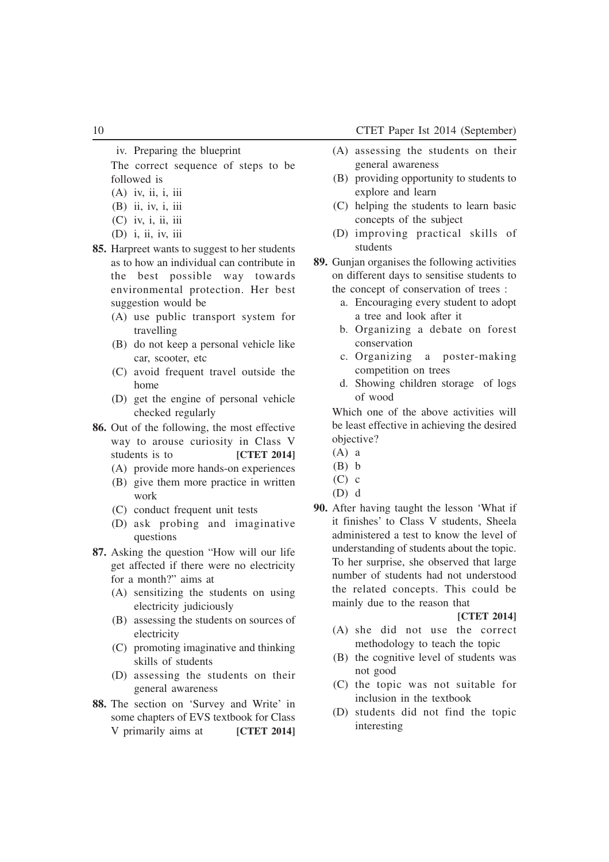iv. Preparing the blueprint

The correct sequence of steps to be followed is

- $(A)$  iv, ii, i, iii
- (B) ii, iv, i, iii
- (C) iv, i, ii, iii
- (D) i, ii, iv, iii
- **85.** Harpreet wants to suggest to her students as to how an individual can contribute in the best possible way towards environmental protection. Her best suggestion would be
	- (A) use public transport system for travelling
	- (B) do not keep a personal vehicle like car, scooter, etc
	- (C) avoid frequent travel outside the home
	- (D) get the engine of personal vehicle checked regularly
- **86.** Out of the following, the most effective way to arouse curiosity in Class V students is to **[CTET 2014]** 
	- (A) provide more hands-on experiences
	- (B) give them more practice in written work
	- (C) conduct frequent unit tests
	- (D) ask probing and imaginative questions
- **87.** Asking the question "How will our life get affected if there were no electricity for a month?" aims at
	- (A) sensitizing the students on using electricity judiciously
	- (B) assessing the students on sources of electricity
	- (C) promoting imaginative and thinking skills of students
	- (D) assessing the students on their general awareness
- **88.** The section on 'Survey and Write' in some chapters of EVS textbook for Class V primarily aims at **[CTET 2014]**
- (A) assessing the students on their general awareness
- (B) providing opportunity to students to explore and learn
- (C) helping the students to learn basic concepts of the subject
- (D) improving practical skills of students
- **89.** Gunjan organises the following activities on different days to sensitise students to the concept of conservation of trees :
	- a. Encouraging every student to adopt a tree and look after it
	- b. Organizing a debate on forest conservation
	- c. Organizing a poster-making competition on trees
	- d. Showing children storage of logs of wood

Which one of the above activities will be least effective in achieving the desired objective?

- (A) a
- $(B)$  b
- $(C)$  c
- (D) d
- **90.** After having taught the lesson 'What if it finishes' to Class V students, Sheela administered a test to know the level of understanding of students about the topic. To her surprise, she observed that large number of students had not understood the related concepts. This could be mainly due to the reason that

- (A) she did not use the correct methodology to teach the topic
- (B) the cognitive level of students was not good
- (C) the topic was not suitable for inclusion in the textbook
- (D) students did not find the topic interesting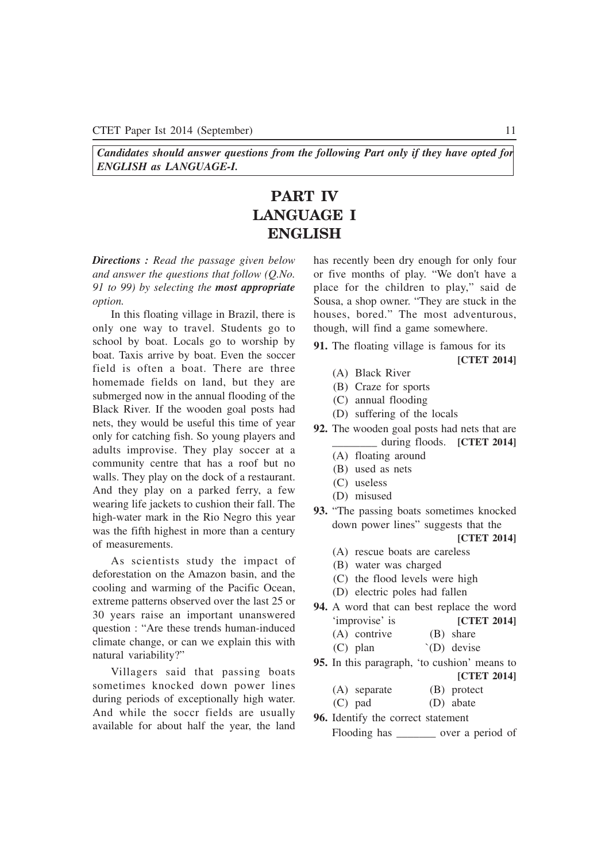*Candidates should answer questions from the following Part only if they have opted for ENGLISH as LANGUAGE-I.*

## **PART IV LANGUAGE I ENGLISH**

*Directions : Read the passage given below and answer the questions that follow (Q.No. 91 to 99) by selecting the most appropriate option.*

In this floating village in Brazil, there is only one way to travel. Students go to school by boat. Locals go to worship by boat. Taxis arrive by boat. Even the soccer field is often a boat. There are three homemade fields on land, but they are submerged now in the annual flooding of the Black River. If the wooden goal posts had nets, they would be useful this time of year only for catching fish. So young players and adults improvise. They play soccer at a community centre that has a roof but no walls. They play on the dock of a restaurant. And they play on a parked ferry, a few wearing life jackets to cushion their fall. The high-water mark in the Rio Negro this year was the fifth highest in more than a century of measurements.

As scientists study the impact of deforestation on the Amazon basin, and the cooling and warming of the Pacific Ocean, extreme patterns observed over the last 25 or 30 years raise an important unanswered question : "Are these trends human-induced climate change, or can we explain this with natural variability?"

Villagers said that passing boats sometimes knocked down power lines during periods of exceptionally high water. And while the soccr fields are usually available for about half the year, the land has recently been dry enough for only four or five months of play. "We don't have a place for the children to play," said de Sousa, a shop owner. "They are stuck in the houses, bored." The most adventurous, though, will find a game somewhere.

- **91.** The floating village is famous for its **[CTET 2014]**
	- (A) Black River
	- (B) Craze for sports
	- (C) annual flooding
	- (D) suffering of the locals
- **92.** The wooden goal posts had nets that are during floods. **[CTET 2014]** 
	- (A) floating around
	- (B) used as nets
	- (C) useless
	- (D) misused
- **93.** "The passing boats sometimes knocked down power lines" suggests that the

- (A) rescue boats are careless
- (B) water was charged
- (C) the flood levels were high
- (D) electric poles had fallen
- **94.** A word that can best replace the word 'improvise' is **[CTET 2014]**
	- (A) contrive (B) share
	- (C) plan `(D) devise
- **95.** In this paragraph, 'to cushion' means to
	- **[CTET 2014]**
	- (A) separate (B) protect
	- (C) pad (D) abate
- **96.** Identify the correct statement Flooding has \_\_\_\_\_\_\_ over a period of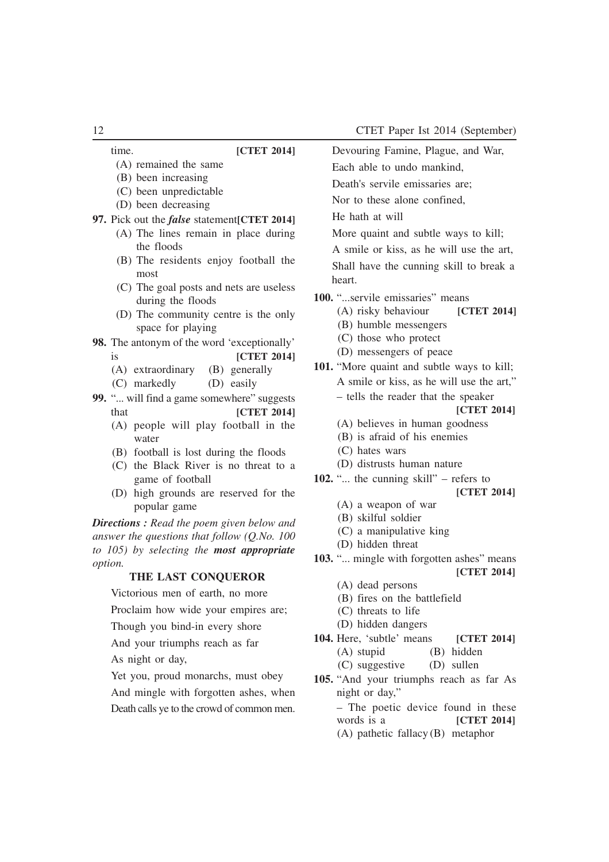| 12                                                        | CTET Paper Ist 2014 (September)                      |
|-----------------------------------------------------------|------------------------------------------------------|
| time.<br>[CTET 2014]                                      | Devouring Famine, Plague, and War,                   |
| (A) remained the same                                     | Each able to undo mankind,                           |
| (B) been increasing                                       | Death's servile emissaries are;                      |
| (C) been unpredictable                                    | Nor to these alone confined,                         |
| (D) been decreasing                                       | He hath at will                                      |
| 97. Pick out the <i>false</i> statement[CTET 2014]        |                                                      |
| (A) The lines remain in place during                      | More quaint and subtle ways to kill;                 |
| the floods<br>(B) The residents enjoy football the        | A smile or kiss, as he will use the art,             |
| most                                                      | Shall have the cunning skill to break a              |
| (C) The goal posts and nets are useless                   | heart.                                               |
| during the floods                                         | 100. "servile emissaries" means                      |
| (D) The community centre is the only                      | (A) risky behaviour<br>[CTET 2014]                   |
| space for playing                                         | (B) humble messengers                                |
| 98. The antonym of the word 'exceptionally'               | (C) those who protect                                |
| is<br><b>[CTET 2014]</b>                                  | (D) messengers of peace                              |
| (B) generally<br>(A) extraordinary                        | 101. "More quaint and subtle ways to kill;           |
| (C) markedly<br>(D) easily                                | A smile or kiss, as he will use the art,"            |
| 99. " will find a game somewhere" suggests                | - tells the reader that the speaker                  |
| [CTET 2014]<br>that                                       | [CTET 2014]                                          |
| (A) people will play football in the                      | (A) believes in human goodness                       |
| water                                                     | (B) is afraid of his enemies                         |
| (B) football is lost during the floods                    | (C) hates wars<br>(D) distrusts human nature         |
| (C) the Black River is no threat to a<br>game of football | 102. " the cunning skill" – refers to                |
| (D) high grounds are reserved for the                     | [CTET 2014]                                          |
| popular game                                              | (A) a weapon of war                                  |
| Directions : Read the poem given below and                | (B) skilful soldier                                  |
| answer the questions that follow $(Q.No. 100$             | (C) a manipulative king                              |
| to 105) by selecting the most appropriate                 | (D) hidden threat                                    |
| option.                                                   | 103. " mingle with forgotten ashes" means            |
| THE LAST CONQUEROR                                        | [CTET 2014]                                          |
| Victorious men of earth, no more                          | (A) dead persons<br>(B) fires on the battlefield     |
| Proclaim how wide your empires are;                       | (C) threats to life                                  |
| Though you bind-in every shore                            | (D) hidden dangers                                   |
| And your triumphs reach as far                            | 104. Here, 'subtle' means<br>[CTET 2014]             |
| As night or day,                                          | (A) stupid<br>(B) hidden                             |
|                                                           | (C) suggestive<br>(D) sullen                         |
| Yet you, proud monarchs, must obey                        | 105. "And your triumphs reach as far As              |
| And mingle with forgotten ashes, when                     | night or day,"                                       |
| Death calls ye to the crowd of common men.                | - The poetic device found in these<br>words is a     |
|                                                           | [CTET 2014]<br>$(A)$ pathetic fallacy $(B)$ metaphor |
|                                                           |                                                      |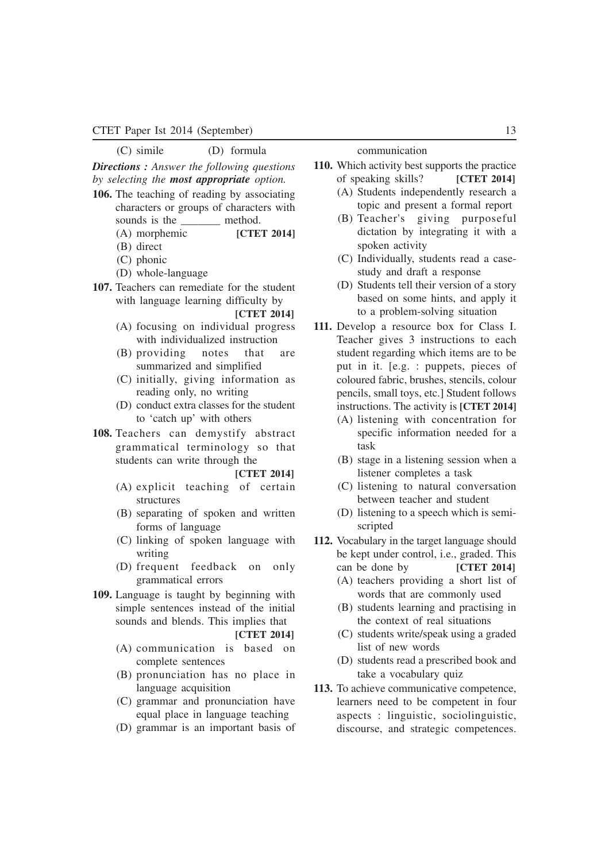#### CTET Paper Ist 2014 (September) 13

(C) simile (D) formula

*Directions : Answer the following questions by selecting the most appropriate option.*

- **106.** The teaching of reading by associating characters or groups of characters with sounds is the method.
	- (A) morphemic **[CTET 2014]**
	- (B) direct
	- (C) phonic
	- (D) whole-language
- **107.** Teachers can remediate for the student with language learning difficulty by **[CTET 2014]**
	- (A) focusing on individual progress with individualized instruction
	- (B) providing notes that are summarized and simplified
	- (C) initially, giving information as reading only, no writing
	- (D) conduct extra classes for the student to 'catch up' with others
- **108.** Teachers can demystify abstract grammatical terminology so that students can write through the

#### **[CTET 2014]**

- (A) explicit teaching of certain structures
- (B) separating of spoken and written forms of language
- (C) linking of spoken language with writing
- (D) frequent feedback on only grammatical errors
- **109.** Language is taught by beginning with simple sentences instead of the initial sounds and blends. This implies that

**[CTET 2014]**

- (A) communication is based on complete sentences
- (B) pronunciation has no place in language acquisition
- (C) grammar and pronunciation have equal place in language teaching
- (D) grammar is an important basis of

communication

- **110.** Which activity best supports the practice of speaking skills? **[CTET 2014]** (A) Students independently research a
	- topic and present a formal report
	- (B) Teacher's giving purposeful dictation by integrating it with a spoken activity
	- (C) Individually, students read a casestudy and draft a response
	- (D) Students tell their version of a story based on some hints, and apply it to a problem-solving situation
- **111.** Develop a resource box for Class I. Teacher gives 3 instructions to each student regarding which items are to be put in it. [e.g. : puppets, pieces of coloured fabric, brushes, stencils, colour pencils, small toys, etc.] Student follows instructions. The activity is **[CTET 2014]**
	- (A) listening with concentration for specific information needed for a task
	- (B) stage in a listening session when a listener completes a task
	- (C) listening to natural conversation between teacher and student
	- (D) listening to a speech which is semiscripted
- **112.** Vocabulary in the target language should be kept under control, i.e., graded. This can be done by **[CTET 2014]**
	- (A) teachers providing a short list of words that are commonly used
	- (B) students learning and practising in the context of real situations
	- (C) students write/speak using a graded list of new words
	- (D) students read a prescribed book and take a vocabulary quiz
- **113.** To achieve communicative competence, learners need to be competent in four aspects : linguistic, sociolinguistic, discourse, and strategic competences.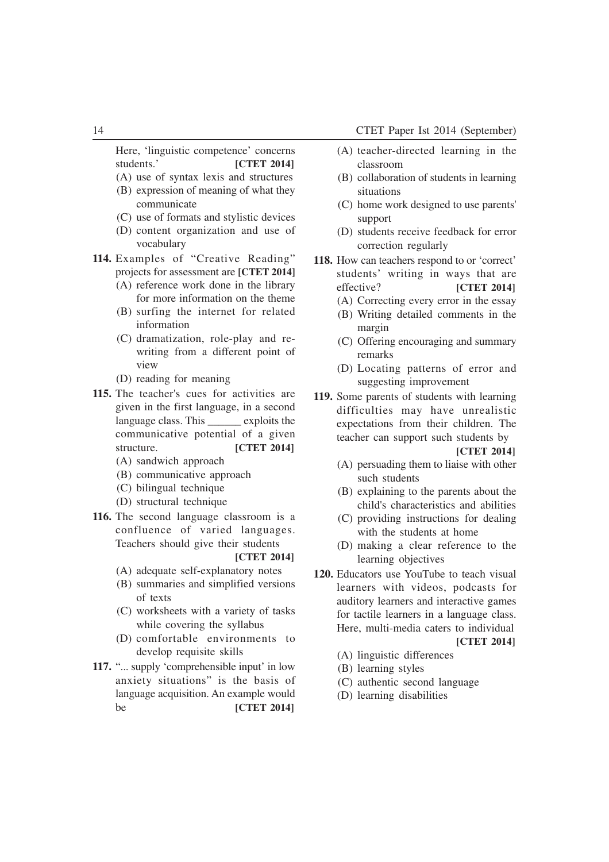Here, 'linguistic competence' concerns students.' **[CTET 2014]**

- (A) use of syntax lexis and structures (B) expression of meaning of what they
- communicate
- (C) use of formats and stylistic devices
- (D) content organization and use of vocabulary
- **114.** Examples of "Creative Reading" projects for assessment are **[CTET 2014]** (A) reference work done in the library
	- for more information on the theme
	- (B) surfing the internet for related information
	- (C) dramatization, role-play and rewriting from a different point of view
	- (D) reading for meaning
- **115.** The teacher's cues for activities are given in the first language, in a second language class. This exploits the communicative potential of a given structure. **[CTET 2014]** 
	- (A) sandwich approach (B) communicative approach
	-
	- (C) bilingual technique
	- (D) structural technique
- **116.** The second language classroom is a confluence of varied languages. Teachers should give their students
	- **[CTET 2014]**
	- (A) adequate self-explanatory notes
	- (B) summaries and simplified versions of texts
	- (C) worksheets with a variety of tasks while covering the syllabus
	- (D) comfortable environments to develop requisite skills
- **117.** "... supply 'comprehensible input' in low anxiety situations" is the basis of language acquisition. An example would be **[CTET 2014]**
- (A) teacher-directed learning in the classroom
- (B) collaboration of students in learning situations
- (C) home work designed to use parents' support
- (D) students receive feedback for error correction regularly
- **118.** How can teachers respond to or 'correct' students' writing in ways that are effective? **[CTET 2014]**
	- (A) Correcting every error in the essay
	- (B) Writing detailed comments in the margin
	- (C) Offering encouraging and summary remarks
	- (D) Locating patterns of error and suggesting improvement
- **119.** Some parents of students with learning difficulties may have unrealistic expectations from their children. The teacher can support such students by

- (A) persuading them to liaise with other such students
- (B) explaining to the parents about the child's characteristics and abilities
- (C) providing instructions for dealing with the students at home
- (D) making a clear reference to the learning objectives
- **120.** Educators use YouTube to teach visual learners with videos, podcasts for auditory learners and interactive games for tactile learners in a language class. Here, multi-media caters to individual **[CTET 2014]**
	- (A) linguistic differences
	- (B) learning styles
	- (C) authentic second language
	- (D) learning disabilities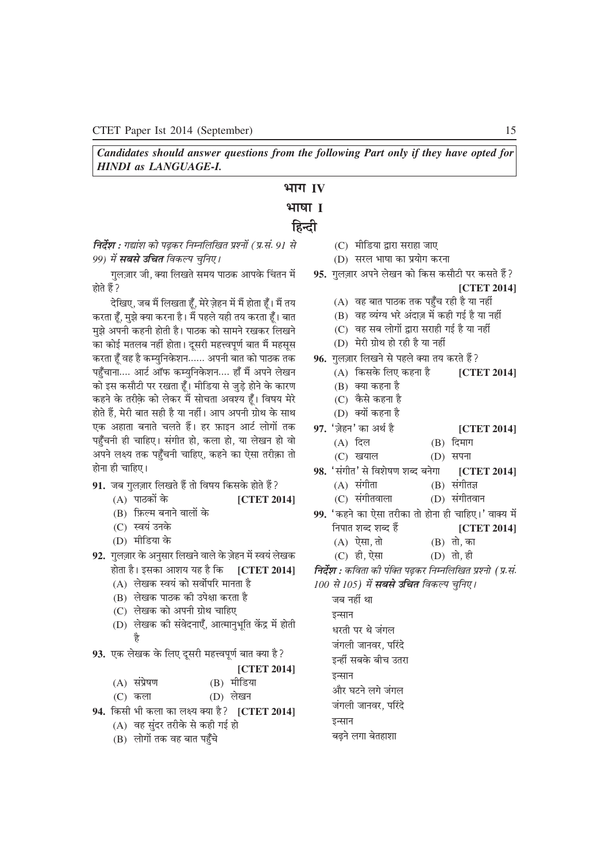*Candidates should answer questions from the following Part only if they have opted for HINDI as LANGUAGE-I.*

### **HTT IV**

### **भाषा I**

### **हिन्दी**

*faर्देष्ठा : गद्यांश को पढकर निम्नलिखित प्रश्नों (प्र.सं.* 91 *से 99)* में सबसे उचित विकल्प चुनिए।

*गु*लज़ार जी, क्या लिखते समय पाठक आपके चिंतन में *होते हैं* ?

*nsf[k,] tc eSa fy[krk gw°] esjs tsgu esa eSa gksrk gw°A eSa r; djrk gw°] eq>s D;k djuk gSA eSa igys ;gh r; djrk gw°A ckr* मुझे अपनी कहनी होती है। पाठक को सामने रखकर लिखने *dk dksbZ eryc ugha gksrkA nwljh egŸoiw.kZ ckr eSa eglwl djrk gw° og gS dE;qfuosG'ku------ viuh ckr dks ikBd rd* पहुँचाना.... आर्ट ऑफ कम्युनिकेशन.... हाँ मैं अपने लेखन *dks bl dlkSVh ij j[krk gw°A ehfM;k ls tqM+s gksus osG dkj.k dgus osG rjhosG dks ysdj eSa lksprk vo'; gw°A fo"k; esjs gksrs gSa] esjh ckr lgh gS ;k ughaA vki viuh xzksFk osG lkFk* एक अहाता बनाते चलते हैं। हर फ़ाइन आर्ट लोगों तक पहुँचनी ही चाहिए। संगीत हो, कला हो, या लेखन हो वो *vius y{; rd igq°puh pkfg,] dgus dk ,slk rjhdk rks -*  $\vec{r}$ होना ही चाहिए।

- **91.** जब गुलज़ार लिखते हैं तो विषय किसके होते हैं ?
	- (A) *ikBdksa osG* **[CTET 2014]**
	- (B) फ़िल्म बनाने वालों के
	- (C) स्वयं उनके
	- (D) मीडिया के
- **92.** *xqytkj osG vuqlkj fy[kus okys osG - tsgu esa Lo;a ys[kd gksrk gSA bldk vk'k; ;g gS fd* **[CTET 2014]**
	- (A) लेखक स्वयं को सर्वोपरि मानता है
	- (B) लेखक पाठक की उपेक्षा करता है
	- (C) लेखक को अपनी ग्रोथ चाहिए
	- (D) लेखक की संवेदनाएँ, आत्मानुभूति केंद्र में होती *gS*
- 93. एक लेखक के लिए दूसरी महत्त्वपूर्ण बात क्या है?
	- **[CTET 2014]**
	- (A) संप्रेषण (B) मीडिया
	- (C) कला (D) लेखन
- **94.** *fdlh Hkh dyk dk y{; D;k gS\* **[CTET 2014]**
	- (A) वह सुंदर तरीके से कही गई हो
	- (B) लोगों तक वह बात पहँचे
- (C) मीडिया द्वारा सराहा जाए
- (D) सरल भाषा का प्रयोग करना
- 95. गुलज़ार अपने लेखन को किस कसौटी पर कसते हैं? **[CTET 2014]**
	- (A) वह बात पाठक तक पहुँच रही है या नहीं
	- (B) वह व्यंग्य भरे अंदाज़ में कही गई है या नहीं
	- (C) वह सब लोगों द्वारा सराही गई है या नहीं
	- (D) मेरी ग्रोथ हो रही है या नहीं
- **96.** *xqytkj fy[kus ls igys D;k r; djrs gSa\ -*
	- (A) *fdlosG fy, dguk gS* **[CTET 2014]**
		- (B) क्या कहना है
		- (C) कैसे कहना है
		- (D) क्यों कहना है
- **97.** *^ts - gu\* dk vFkZ gS* **[CTET 2014]**
	- (A) दिल (B) दिमाग
	- (C) खयाल (D) सपना
- 98. 'संगीत' से विशेषण शब्द बनेगा [CTET 2014] (A) संगीता (B) संगीतज्ञ
	- (C) *laxhrokyk* (D) *laxhroku*
- 99. 'कहने का ऐसा तरीका तो होना ही चाहिए।' वाक्य में *fuikr 'kCn 'kCn gSa* **[CTET 2014]**
	- (A) ऐसा, तो (B) तो, का
	- (C) ही, ऐसा (D) तो, ही
- *निर्देश : कविता की पंक्ति पढ़कर निम्नलिखित प्रश्नो (प्र.सं.*
- *100 से 105) में सबसे उचित विकल्प चुनिए।*

जब नहीं था इन्सान धरती पर थे जंगल *जंगली जानवर, परिंदे* इन्हीं सबके बीच उतरा इन्सान

- और घटने लगे जंगल
- *जंगली जानवर, परिंदे*
- इन्सान
- **बढने लगा बेतहाशा**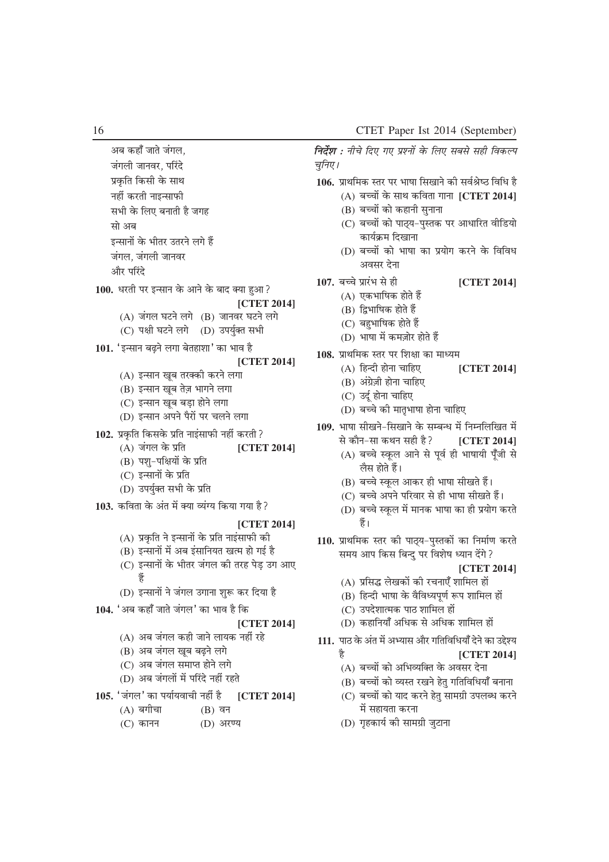अब कहाँ जाते जंगल. *जंगली जानवर, परिंदे Áo`Gfr fdlh osG lkFk* **नहीं** करती नाइन्साफी *lHkh osG fy, cukrh gS txg* **सो** अब *s*न्सानों के भीतर उतरने लगे हैं *जंगल, जंगली जानव*र और परिंदे 100. धरती पर इन्सान के आने के बाद क्या हुआ? **[CTET 2014]** (A) *taxy ?kVus yxs* (B) *tkuoj ?kVus yxs* (C) *i{kh ?kVus yxs* (D) *mi;qZDr lHkh* 101. 'इन्सान बढ़ने लगा बेतहाशा' का भाव है **[CTET 2014]** (A) इन्सान खूब तरक्की करने लगा (B) इन्सान खूब तेज़ भागने लगा (C) इन्सान खूब बड़ा होने लगा (D) इन्सान अपने पैरों पर चलने लगा 102. प्रकृति किसके प्रति नाइंसाफी नहीं करती? (A) जंगल के प्रति **[CTET 2014]** (B) पश्-पक्षियों के प्रति (C) इन्सानों के प्रति (D) उपर्युक्त सभी के प्रति 103. कविता के अंत में क्या व्यंग्य किया गया है? **[CTET 2014]** (A) प्रकृति ने इन्सानों के प्रति नाइंसाफी की (B) इन्सानों में अब इंसानियत खत्म हो गई है (C) इन्सानों के भीतर जंगल की तरह पेड़ उग आए  $\frac{2}{5}$ (D) इन्सानों ने जंगल उगाना शुरू कर दिया है **104.** *^vc dgk° tkrs taxy\* dk Hkko gS fd* **[CTET 2014]** (A) *vc taxy dgh tkus yk;d ugha jgs* (B) अब जंगल खूब बढ़ने लगे (C) अब जंगल समाप्त होने लगे (D) अब जंगलों में परिंदे नहीं रहते 105. 'जंगल' का पर्यायवाची नहीं है [CTET 2014] (A) *cxhpk* (B) *ou*

(C) कानन (D) अरण्य

*निर्देश : नीचे दिए गए प्रश्नों के लिए सबसे सही विकल्प चुनिए।* 

- 106. प्राथमिक स्तर पर भाषा सिखाने की सर्वश्रेष्ठ विधि है
	- (A) बच्चों के साथ कविता गाना [CTET 2014]
	- (B) बच्चों को कहानी सुनाना
	- (C) बच्चों को पाठ्य-पुस्तक पर आधारित वीडियो *कार्यक्रम दिखाना*
	- (D) बच्चों को भाषा का प्रयोग करने के विविध *volj nsuk*
- 107. बच्चे प्रारंभ से ही **[CTET 2014]** 
	- (A) एकभाषिक होते हैं
	- (B) द्रिभाषिक होते हैं
	- (C) बहभाषिक होते हैं
	- (D) *Hkk"kk esa detksj gksrs gSa -*
- 108. प्राथमिक स्तर पर शिक्षा का माध्यम
	- (A) हिन्दी होना चाहिए **[CTET 2014]**
	- (B) अंग्रेज़ी होना चाहिए
	- (C) *mnwZ gksuk pkfg,*
	- (D) बच्चे की मातृभाषा होना चाहिए
- 109. भाषा सीखने-सिखाने के सम्बन्ध में निम्नलिखित में *ls dkSu&lk dFku lgh gS\* **[CTET 2014]**
	- (A) *cPps LowGy vkus ls iwoZ gh Hkk"kk;h iw°th ls* लैस होते हैं।
	- (B) बच्चे स्कुल आकर ही भाषा सीखते हैं।
	- (C) बच्चे अपने परिवार से ही भाषा सीखते हैं।
	- (D) बच्चे स्कूल में मानक भाषा का ही प्रयोग करते र्हे ।
- 110. प्राथमिक स्तर की पाठ्य-पुस्तकों का निर्माण करते *le; vki fdl fcUnq ij fo'ks"k Ë;ku nsaxs\*
	- **[CTET 2014]**
	- (A) प्रसिद्ध लेखकों की रचनाएँ शामिल हों
	- (B) हिन्दी भाषा के वैविध्यपूर्ण रूप शामिल हों
	- (C) *mins'kkRed ikB 'kkfey gksa*
	- (D) *dgkfu;k° vf/kd ls vf/kd 'kkfey gksa*
- 111. पाठ के अंत में अभ्यास और गतिविधियाँ देने का उद्देश्य
	- है**GET 2014**
	- (A) *cPpksa dks vfHkO;fDr osG volj nsuk*
	- (B) बच्चों को व्यस्त रखने हेतु गतिविधियाँ बनाना
	- (C) बच्चों को याद करने हेतु सामग्री उपलब्ध करने *esa lgk;rk djuk*
	- (D) गृहकार्य की सामग्री जुटाना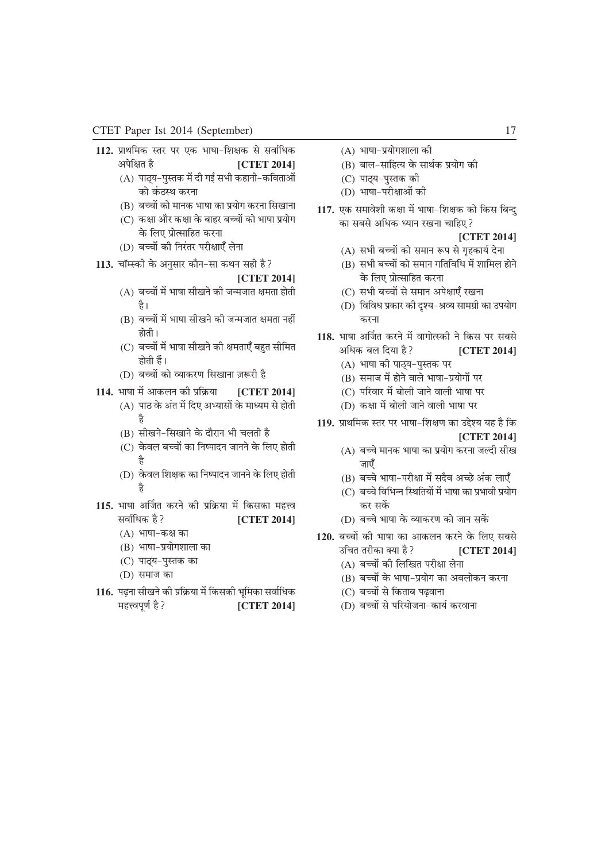- 112. प्राथमिक स्तर पर एक भाषा-शिक्षक से सर्वाधिक *visf{kr gS* **[CTET 2014]**
	- (A) पाठ्य-पुस्तक में दी गई सभी कहानी-कविताओं *को कंठ*स्थ करना
	- (B) बच्चों को मानक भाषा का प्रयोग करना सिखाना
	- (C) कक्षा और कक्षा के बाहर बच्चों को भाषा प्रयोग *के लिए प्रोत्साहित करना*
	- (D) बच्चों की निरंतर परीक्षाएँ लेना
- 113. चॉम्स्की के अनसार कौन-सा कथन सही है?

- (A) बच्चों में भाषा सीखने की जन्मजात क्षमता होती है।
- (B) बच्चों में भाषा सीखने की जन्मजात क्षमता नहीं *होती* ।
- (C) बच्चों में भाषा सीखने की क्षमताएँ बहुत सीमित होती हैं।
- (D) *cPpksa dks O;kdj.k fl[kkuk t:jh gS -*
- **114.** *Hkk"kk esa vkdyu dh Áfÿ;k* **[CTET 2014]** (A) पाठ के अंत में दिए अभ्यासों के माध्यम से होती *gS*
	- (B) सीखने-सिखाने के दौरान भी चलती है
	- (C) केवल बच्चों का निष्पादन जानने के लिए होती *gS*
	- (D) *osGoy f'k{kd dk fu"iknu tkuus osG fy, gksrh gS*
- <u>115. भाषा अर्जित करने की प्रक्रिया में किसका महत्त्व</u> *lokZfËkd gS\* **[CTET 2014]** (A) भाषा-कक्ष का
	- (B) भाषा-प्रयोगशाला का
	- (C) पाठ्य-पुस्तक का
	- (D) समाज का
- 116. पढ़ना सीखने की प्रक्रिया में किसकी भूमिका सर्वाधिक महत्त्वपूर्ण है? *[CTET 2014]*
- (A) भाषा-प्रयोगशाला की
- (B) बाल-साहित्य के सार्थक प्रयोग की
- (C) पाठय-पस्तक की
- (D) भाषा-परीक्षाओं की
- 117. एक समावेशी कक्षा में भाषा-शिक्षक को किस बिन्द *dk lcls vf/kd Ë;ku j[kuk pkfg,\*
	- **[CTET 2014]**
	- (A) *lHkh cPpksa dks leku :i ls x`gdk;Z nsuk*
	- (B) *lHkh cPpksa dks leku xfrfof/k esa 'kkfey gksus के लिए प्रोत्साहित करना*
	- (C) सभी बच्चों से समान अपेक्षाएँ रखना
	- (D) विविध प्रकार की दृश्य-श्रव्य सामग्री का उपयोग करना
- **118.** *Hkk"kk v£tr djus esa okxksRLdh us fdl ij lcls vf/kd cy fn;k gS\* **[CTET 2014]**
	- (A) भाषा की पाठ्य-पुस्तक पर
	- (B) समाज में होने वाले भाषा-प्रयोगों पर
	- (C) परिवार में बोली जाने वाली भाषा पर
	- (D) *d{kk esa cksyh tkus okyh Hkk"kk ij*
- 119. प्राथमिक स्तर पर भाषा-शिक्षण का उद्देश्य यह है कि **[CTET 2014]**
	- (A) बच्चे मानक भाषा का प्रयोग करना जल्दी सीख <u>जाएँ</u>
	- (B) बच्चे भाषा-परीक्षा में सदैव अच्छे अंक लाएँ
	- (C) बच्चे विभिन्न स्थितियों में भाषा का प्रभावी प्रयोग कर सकें
	- (D) बच्चे भाषा के व्याकरण को जान सकें
- 120. बच्चों की भाषा का आकलन करने के लिए सबसे
	- *mfpr rjhdk D;k gS\* **[CTET 2014]**
		- (A) बच्चों की लिखित परीक्षा लेना
		- (B) बच्चों के भाषा-प्रयोग का अवलोकन करना
		- (C) बच्चों से किताब पढवाना
		- (D) बच्चों से परियोजना-कार्य करवाना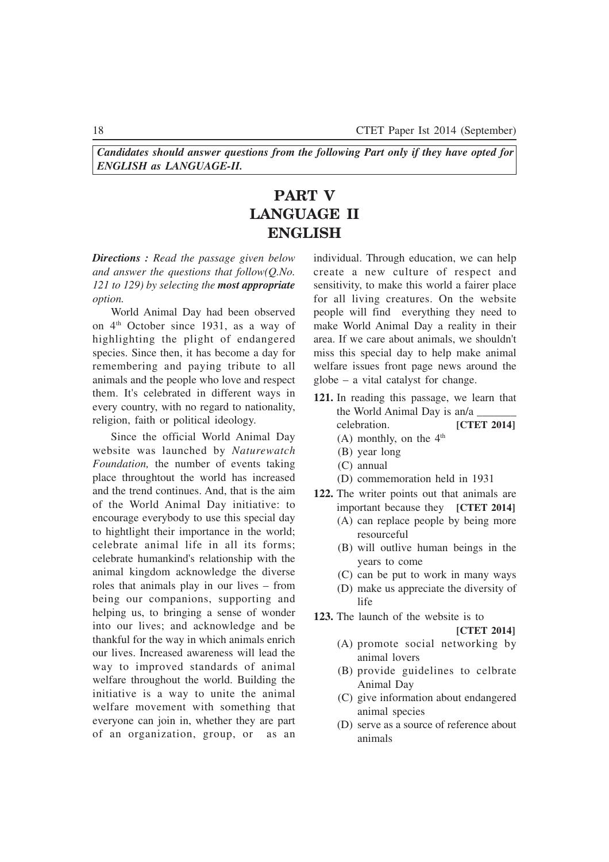*Candidates should answer questions from the following Part only if they have opted for ENGLISH as LANGUAGE-II.*

## **PART V LANGUAGE II ENGLISH**

*Directions : Read the passage given below and answer the questions that follow(Q.No. 121 to 129) by selecting the most appropriate option.*

World Animal Day had been observed on  $4<sup>th</sup>$  October since 1931, as a way of highlighting the plight of endangered species. Since then, it has become a day for remembering and paying tribute to all animals and the people who love and respect them. It's celebrated in different ways in every country, with no regard to nationality, religion, faith or political ideology.

Since the official World Animal Day website was launched by *Naturewatch Foundation,* the number of events taking place throughtout the world has increased and the trend continues. And, that is the aim of the World Animal Day initiative: to encourage everybody to use this special day to hightlight their importance in the world; celebrate animal life in all its forms; celebrate humankind's relationship with the animal kingdom acknowledge the diverse roles that animals play in our lives – from being our companions, supporting and helping us, to bringing a sense of wonder into our lives; and acknowledge and be thankful for the way in which animals enrich our lives. Increased awareness will lead the way to improved standards of animal welfare throughout the world. Building the initiative is a way to unite the animal welfare movement with something that everyone can join in, whether they are part of an organization, group, or as an individual. Through education, we can help create a new culture of respect and sensitivity, to make this world a fairer place for all living creatures. On the website people will find everything they need to make World Animal Day a reality in their area. If we care about animals, we shouldn't miss this special day to help make animal welfare issues front page news around the globe – a vital catalyst for change.

- **121.** In reading this passage, we learn that the World Animal Day is an/a celebration. **[CTET 2014]**
	- (A) monthly, on the  $4<sup>th</sup>$
	- (B) year long
	- (C) annual
	- (D) commemoration held in 1931
- **122.** The writer points out that animals are important because they **[CTET 2014]**
	- (A) can replace people by being more resourceful
	- (B) will outlive human beings in the years to come
	- (C) can be put to work in many ways
	- (D) make us appreciate the diversity of life

**123.** The launch of the website is to

- (A) promote social networking by animal lovers
- (B) provide guidelines to celbrate Animal Day
- (C) give information about endangered animal species
- (D) serve as a source of reference about animals

**<sup>[</sup>CTET 2014]**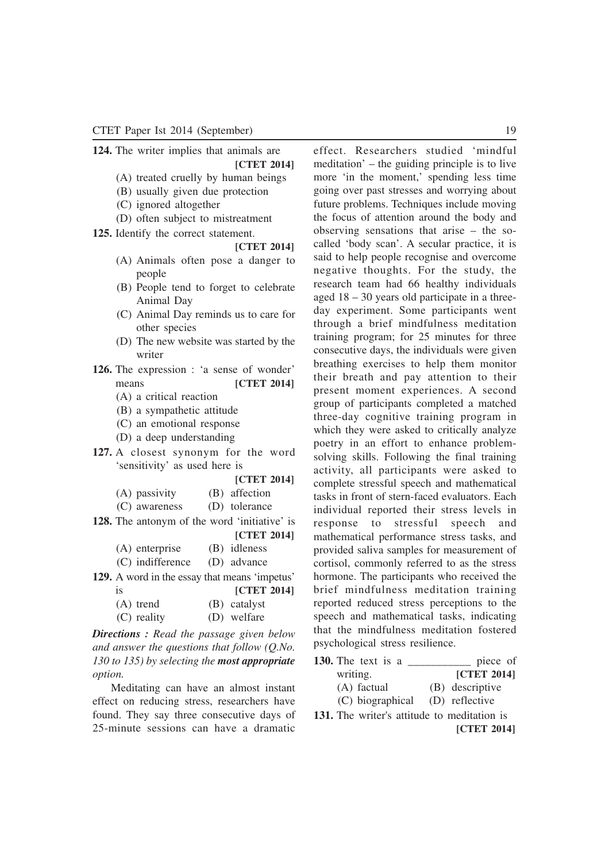**124.** The writer implies that animals are

#### **[CTET 2014]**

- (A) treated cruelly by human beings
- (B) usually given due protection
- (C) ignored altogether
- (D) often subject to mistreatment

#### **125.** Identify the correct statement.

#### **[CTET 2014]**

- (A) Animals often pose a danger to people
- (B) People tend to forget to celebrate Animal Day
- (C) Animal Day reminds us to care for other species
- (D) The new website was started by the writer
- **126.** The expression : 'a sense of wonder' means **[CTET 2014]**
	- (A) a critical reaction
	- (B) a sympathetic attitude
	- (C) an emotional response
	- (D) a deep understanding
- **127.** A closest synonym for the word 'sensitivity' as used here is

| [CTET 2014] |
|-------------|
|-------------|

| (A) passivity | (B) affection |
|---------------|---------------|
| (C) awareness | (D) tolerance |

- **128.** The antonym of the word 'initiative' is
	- **[CTET 2014]**

| (A) enterprise   | (B) idleness |
|------------------|--------------|
| (C) indifference | (D) advance  |

**129.** A word in the essay that means 'impetus'

| <b>1S</b>   | <b>[CTET 2014]</b> |
|-------------|--------------------|
| $(A)$ trend | (B) catalyst       |
| (C) reality | (D) welfare        |

*Directions : Read the passage given below and answer the questions that follow (Q.No. 130 to 135) by selecting the most appropriate option.*

Meditating can have an almost instant effect on reducing stress, researchers have found. They say three consecutive days of 25-minute sessions can have a dramatic

effect. Researchers studied 'mindful meditation' – the guiding principle is to live more 'in the moment,' spending less time going over past stresses and worrying about future problems. Techniques include moving the focus of attention around the body and observing sensations that arise – the socalled 'body scan'. A secular practice, it is said to help people recognise and overcome negative thoughts. For the study, the research team had 66 healthy individuals aged 18 – 30 years old participate in a threeday experiment. Some participants went through a brief mindfulness meditation training program; for 25 minutes for three consecutive days, the individuals were given breathing exercises to help them monitor their breath and pay attention to their present moment experiences. A second group of participants completed a matched three-day cognitive training program in which they were asked to critically analyze poetry in an effort to enhance problemsolving skills. Following the final training activity, all participants were asked to complete stressful speech and mathematical tasks in front of stern-faced evaluators. Each individual reported their stress levels in response to stressful speech and mathematical performance stress tasks, and provided saliva samples for measurement of cortisol, commonly referred to as the stress hormone. The participants who received the brief mindfulness meditation training reported reduced stress perceptions to the speech and mathematical tasks, indicating that the mindfulness meditation fostered psychological stress resilience.

|     | 130. The text is a                     | piece of        |
|-----|----------------------------------------|-----------------|
|     | writing.                               | [CTET 2014]     |
|     | (A) factual                            | (B) descriptive |
|     | (C) biographical (D) reflective        |                 |
| 131 | The writer's attitude to meditation is |                 |

**131.** The writer's attitude to meditation is **[CTET 2014]**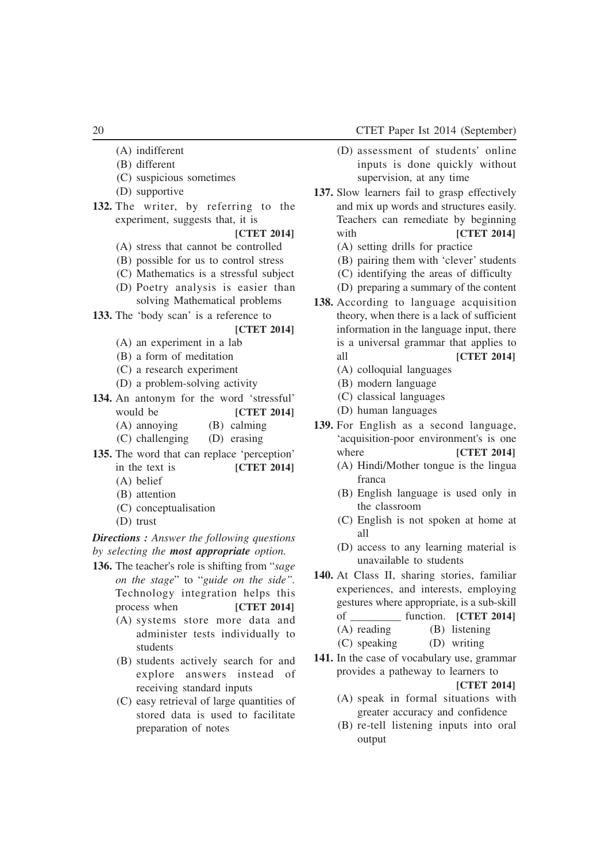- (A) indifferent
- (B) different
- (C) suspicious sometimes
- (D) supportive
- **132.** The writer, by referring to the experiment, suggests that, it is

### **[CTET 2014]**

- (A) stress that cannot be controlled
- (B) possible for us to control stress
- (C) Mathematics is a stressful subject
- (D) Poetry analysis is easier than solving Mathematical problems
- **133.** The 'body scan' is a reference to

#### **[CTET 2014]**

- (A) an experiment in a lab
- (B) a form of meditation
- (C) a research experiment
- (D) a problem-solving activity
- **134.** An antonym for the word 'stressful' would be **[CTET 2014]**
	- (A) annoying (B) calming
	- (C) challenging (D) erasing
- **135.** The word that can replace 'perception' in the text is **[CTET 2014]** (A) belief
	- (B) attention
	- (C) conceptualisation
	- (D) trust

*Directions : Answer the following questions by selecting the most appropriate option.*

- **136.** The teacher's role is shifting from "*sage on the stage*" to "*guide on the side".* Technology integration helps this process when **[CTET 2014]**
	- (A) systems store more data and administer tests individually to students
	- (B) students actively search for and explore answers instead of receiving standard inputs
	- (C) easy retrieval of large quantities of stored data is used to facilitate preparation of notes
- (D) assessment of students' online inputs is done quickly without supervision, at any time
- **137.** Slow learners fail to grasp effectively and mix up words and structures easily. Teachers can remediate by beginning with **[CTET 2014]**
	- (A) setting drills for practice
	- (B) pairing them with 'clever' students
	- (C) identifying the areas of difficulty
	- (D) preparing a summary of the content
- **138.** According to language acquisition theory, when there is a lack of sufficient information in the language input, there is a universal grammar that applies to all **[CTET 2014]**
	- (A) colloquial languages
	- (B) modern language
	- (C) classical languages
	- (D) human languages
- **139.** For English as a second language, 'acquisition-poor environment's is one where **[CTET 2014]**
	- (A) Hindi/Mother tongue is the lingua franca
	- (B) English language is used only in the classroom
	- (C) English is not spoken at home at all
	- (D) access to any learning material is unavailable to students
- **140.** At Class II, sharing stories, familiar experiences, and interests, employing gestures where appropriate, is a sub-skill

| of           | function. [CTET 2014] |
|--------------|-----------------------|
| (A) reading  | (B) listening         |
| (C) speaking | (D) writing           |

**141.** In the case of vocabulary use, grammar provides a patheway to learners to

- (A) speak in formal situations with greater accuracy and confidence
- (B) re-tell listening inputs into oral output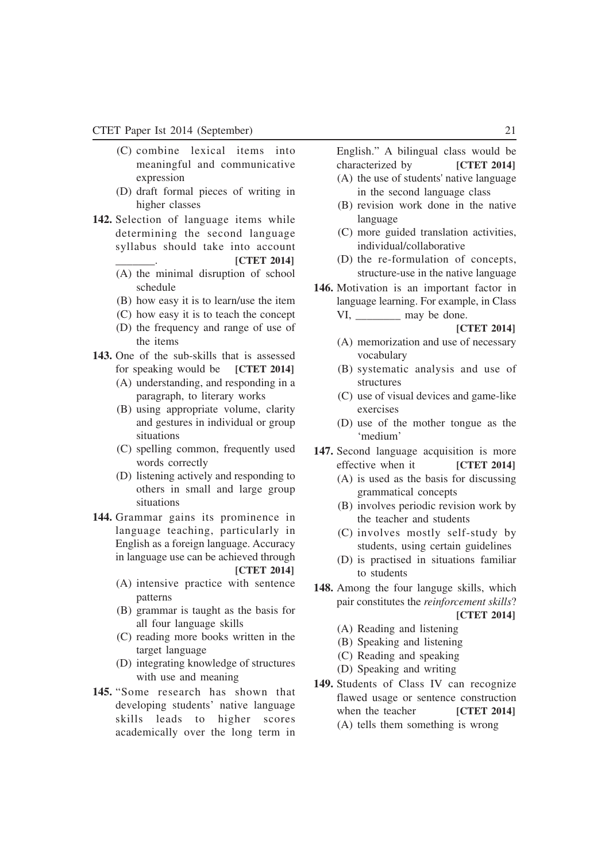- (C) combine lexical items into meaningful and communicative expression
- (D) draft formal pieces of writing in higher classes
- **142.** Selection of language items while determining the second language syllabus should take into account

\_\_\_\_\_\_\_. **[CTET 2014]**

- (A) the minimal disruption of school schedule
- (B) how easy it is to learn/use the item
- (C) how easy it is to teach the concept
- (D) the frequency and range of use of the items
- **143.** One of the sub-skills that is assessed for speaking would be **[CTET 2014]**
	- (A) understanding, and responding in a paragraph, to literary works
	- (B) using appropriate volume, clarity and gestures in individual or group situations
	- (C) spelling common, frequently used words correctly
	- (D) listening actively and responding to others in small and large group situations
- **144.** Grammar gains its prominence in language teaching, particularly in English as a foreign language. Accuracy in language use can be achieved through

#### **[CTET 2014]**

- (A) intensive practice with sentence patterns
- (B) grammar is taught as the basis for all four language skills
- (C) reading more books written in the target language
- (D) integrating knowledge of structures with use and meaning
- **145.** "Some research has shown that developing students' native language skills leads to higher scores academically over the long term in

English." A bilingual class would be characterized by **[CTET 2014]**

- (A) the use of students' native language in the second language class
- (B) revision work done in the native language
- (C) more guided translation activities, individual/collaborative
- (D) the re-formulation of concepts, structure-use in the native language
- **146.** Motivation is an important factor in language learning. For example, in Class VI, may be done.

- (A) memorization and use of necessary vocabulary
- (B) systematic analysis and use of structures
- (C) use of visual devices and game-like exercises
- (D) use of the mother tongue as the 'medium'
- **147.** Second language acquisition is more effective when it **[CTET 2014]** (A) is used as the basis for discussing
	- grammatical concepts
	- (B) involves periodic revision work by the teacher and students
	- (C) involves mostly self-study by students, using certain guidelines
	- (D) is practised in situations familiar to students
- **148.** Among the four languge skills, which pair constitutes the *reinforcement skills*? **[CTET 2014]**
	- (A) Reading and listening
	- (B) Speaking and listening
	- (C) Reading and speaking
	- (D) Speaking and writing
- **149.** Students of Class IV can recognize flawed usage or sentence construction when the teacher **[CTET 2014]** (A) tells them something is wrong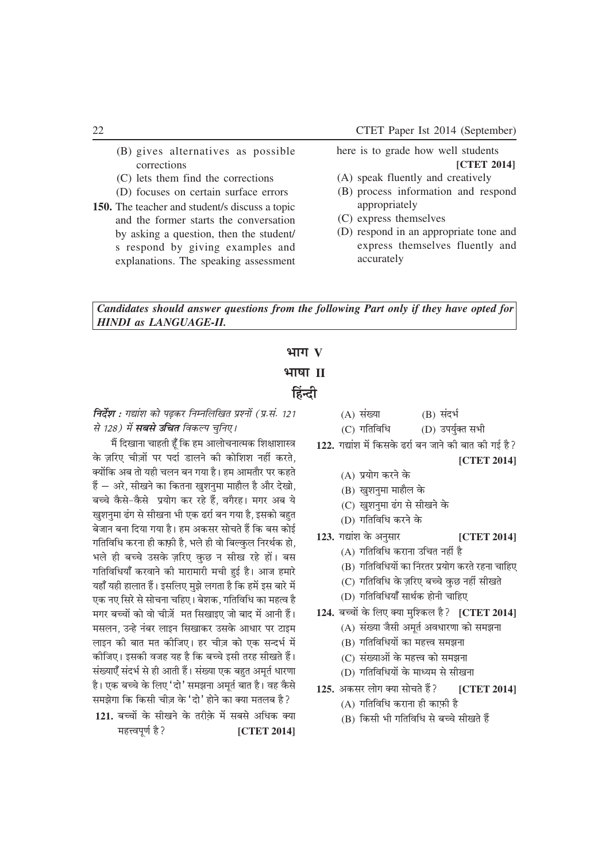- (B) gives alternatives as possible corrections
- (C) lets them find the corrections
- (D) focuses on certain surface errors
- **150.** The teacher and student/s discuss a topic and the former starts the conversation by asking a question, then the student/ s respond by giving examples and explanations. The speaking assessment

here is to grade how well students **[CTET 2014]**

- (A) speak fluently and creatively
- (B) process information and respond appropriately
- (C) express themselves
- (D) respond in an appropriate tone and express themselves fluently and accurately

*Candidates should answer questions from the following Part only if they have opted for HINDI as LANGUAGE-II.*

## **HITTY भाषा II**

### <u>हिंन्दी</u>

**निर्देश :** गद्यांश को पढकर निम्नलिखित प्रश्नों (प्र.सं. 121 *से 128) में सबसे उचित विकल्प चनिए।* 

*eSa fn[kkuk pkgrh gw° fd ge vkykspukRed f'k{kk'kkL= osG tfj, ph - -tksa ij inkZ Mkyus dh dksf'k'k ugha djrs] D;ksafd vc rks ;gh pyu cu x;k gSA ge vkerkSj ij dgrs gSa µ vjs] lh[kus dk fdruk [kq'kuqek ekgkSy gS vkSj ns[kks] cPps oSGls&oSGls iz;ksx dj jgs gSa] oxSjgA exj vc ;s खशनमा ढंग से सीखना भी एक ढर्रा बन गया है. इसको बहत* <u>बेजान बना दिया गया है। हम अकसर सोचते हैं कि बस कोई</u> *xfrfof/k djuk gh dkiGh gS] Hkys gh oks fcYoqGy fujFkZd gks] - Hkys gh cPps mlosG tfj, oqGN u lh[k jgs gksaA cl xfrfofËk;k° djokus dh ekjkekjh eph gqbZ gSA vkt gekjs ;gk° ;gh gkykr gSaA blfy, eq>s yxrk gS fd gesa bl ckjs esa* एक नए सिरे से सोचना चहिए। बेशक, गतिविधि का महत्व है *exj cPpksa dks oks ph-tsa er fl[kkb, tks ckn esa vkuh gSaA elyu] mUgs uacj ykbu fl[kkdj mlosG vk/kkj ij Vkbe लाइन की बात मत कीजिए। हर चीज़ को एक सन्दर्भ* में *dhft,A bldh otg ;g gS fd cPps blh rjg lh[krs gSaA la[;k,° lanHkZ ls gh vkrh gSaA la[;k ,d cgqr vewrZ /kkj.kk* है। एक बच्चे के लिए 'दो' समझना अमर्त बात है। वह कैसे *le>sxk fd fdlh pht osG ^nks\* gksus dk D;k eryc gS\ -*

121. बच्चों के सीखने के तरीके में सबसे अधिक क्या महत्त्वपूर्ण है? *[CTET 2014]* 

- (A) संख्या (B) संदर्भ (C) गतिविधि (D) उपर्युक्त सभी
- 122. गद्यांश में किसके ढर्रा बन जाने की बात की गई है?

- (A) प्रयोग करने के
- (B) खुशनुमा माहौल के
- (C) खशनमा ढंग से सीखने के
- (D) *xfrfof/k djus osG*
- 123. गद्यांश के अनुसार **[CTET 2014]** 
	- (A) *xfrfof/k djkuk mfpr ugha gS*
	- (B) *xfrfof/k;ksa dk •ujrj iz;ksx djrs jguk pkfg,*
	- (C) *xfrfof/k osG tfj, cPps oqGN ugha lh[krs -*
	- (D) *xfrfof/k;k° lkFkZd gksuh pkfg,*
- 124. बच्चों के लिए क्या मश्किल है? **[CTET 2014]** 
	- (A) संख्या जैसी अमर्त अवधारणा को समझना
	- (B) गतिविधियों का महत्त्व समझना
	- (C) संख्याओं के महत्त्व को समझना
	- (D) *xfrfof/k;ksa osG ekË;e ls lh[kuk*
- 125. अकसर लोग क्या सोचते हैं? [CTET 2014]
	- (A) *xfrfof/k djkuk gh dk-iGh gS*
	- (B) *fdlh Hkh xfrfof/k ls cPps lh[krs gSa*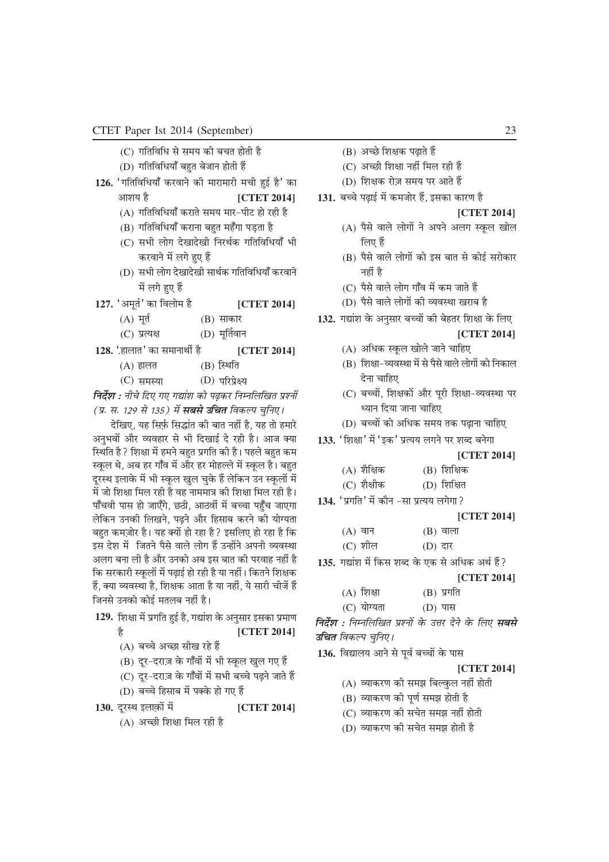- (C) *xfrfof/k ls le; dh cpr gksrh gS*
- (D) गतिविधियाँ बहुत बेजान होती हैं
- 126. 'गतिविधियाँ करवाने की मारामारी मची हुई है' का आशय है *vkt in the set of the set of the set of the set of the set of the set of the set of the set of the set of the set of the set of the set of the set of the set of the set of the set of the set of the set of the set* 
	- (A) *xfrfof/k;k° djkrs le; ekj&ihV gks jgh gS*
	- (B) *xfrfof/k;k° djkuk cgqr eg°xk iM+rk gS*
	- (C) *lHkh yksx ns[kkns[kh fujFkZd xfrfof/k;k° Hkh djokus esa yxs gq, gSa*
	- (D) *lHkh yksx ns[kkns[kh lkFkZd xfrfof/k;k° djokus esa yxs gq, gSa*
- 127. 'अमूर्त' का विलोम है **[CTET 2014]** 
	- (A) मूर्त (B) साकार
	- (C) *izR;{k* (D) *ew£roku*
- **128.** *^gkykr\* dk lekukFkhZ gS -* **[CTET 2014]**
	- $(A)$  हालत *(B)* स्थिति
	- (C) *leL;k* (D) *ifjizs{;*

*निर्देश : नीचे दिए गए गद्यांश को पढ़कर निम्नलिखित प्रश्नों (प्र. स. 129 से 135) में सबसे उचित विकल्प चनिए।* 

*nsf[k,] ;g fliZG flºkar dh ckr ugha gS] ;g rks gekjs -* अनुभवों और व्यवहार से भी दिखाई दे रही है। आज क्या *स्थि*ति है ? शिक्षा में हमने बहुत प्रगति की है। पहले बहुत कम *LowGy Fks] vc gj xk°o esa vkSj gj eksgYys esa LowGy gSA cgqr nwjLFk bykosG esa Hkh LowGy [kqy pqosG gSa ysfdu mu LowGyksa esa esa tks f'k{kk fey jgh gS og ukeek= dh f'k{kk fey jgh gSA ik°poh ikl gks tk,°xs] NBh] vkBoha esa cPpk igq°p tk,xk* लेकिन उनकी लिखने, पढ़ने और हिसाब करने की योग्यता *cgqr de-tksj gSA ;g D;ksa gks jgk gS\ blfy, gks jgk gS fd* इस देश में जितने पैसे वाले लोग <del>हैं उ</del>न्होंने अपनी व्यवस्था अलग बना ली है और उनको अब इस बात की परवाह नहीं है *f*क सरकारी स्कूलों में पढ़ाई हो रही है या नहीं। कितने शिक्षक हैं, क्या व्यवस्था है, शिक्षक आता है या नहीं, ये सारी चीजें हैं *जिनसे उनको कोई मतलब नहीं है।* 

- 129. शिक्षा में प्रगति हुई है, गद्यांश के अनुसार इसका प्रमाण *gS* **[CTET 2014]**
	- (A) *cPps vPNk lh[k jgs gSa*
	- (B) दूर-दराज़ के गाँवों में भी स्कूल खुल गए हैं
	- (C) दूर-दराज़ के गाँवों में सभी बच्चे पढ़ने जाते हैं
	- (D) बच्चे हिसाब में पक्के हो गए हैं
- **130.** दूरस्थ इलाक़ों में [CTET 2014] (A) अच्छी शिक्षा मिल रही है
- (B) अच्छे शिक्षक पढाते हैं
- (C) अच्छी शिक्षा नहीं मिल रही <del>हैं</del>
- (D) शिक्षक रोज़ समय पर आते हैं
- 131. बच्चे पढ़ाई में कमजोर हैं, इसका कारण है

**[CTET 2014]**

- (A) पैसे वाले लोगों ने अपने अलग स्कूल खोल *लिए हैं*
- (B) पैसे वाले लोगों को इस बात से कोई सरोकार *ugha gS*
- (C) पैसे वाले लोग गाँव में कम जाते हैं
- (D) पैसे वाले लोगों की व्यवस्था खराब है
- 132. गद्यांश के अनुसार बच्चों की बेहतर शिक्षा के लिए
	- **[CTET 2014]**
	- (A) *vf/kd LowGy [kksys tkus pkfg,*
	- (B) शिक्षा-व्यवस्था में से पैसे वाले लोगों को निकाल *nsuk pkfg,*
	- (C) बच्चों, शिक्षकों और पूरी शिक्षा-व्यवस्था पर *Ë;ku fn;k tkuk pkfg,*
	- (D) बच्चों को अधिक समय तक पढ़ाना चाहिए
- 133. 'शिक्षा' में 'इक' प्रत्यय लगने पर शब्द बनेगा

#### **[CTET 2014]**

| (A) शैक्षिक |  | $(B)$ शिक्षिक |
|-------------|--|---------------|
|-------------|--|---------------|

| (C) शैक्षीक | (D) शिक्षित |
|-------------|-------------|
|             |             |

134. 'प्रगति' में कौन -सा प्रत्यय लगेगा?

#### **[CTET 2014]**

| $(A)$ वान | $(B)$ वाला |
|-----------|------------|
| $(C)$ शील | (D) दार    |

- 135. गद्यांश में किस शब्द के एक से अधिक अर्थ हैं?
	- **[CTET 2014]**
	- (A) शिक्षा (B) प्रगति
	- (C) योग्यता (D) पास

*faर्देश : निम्नलिखित प्रश्नों के उत्तर देने के लिए सबसे उचित विकल्प चुनिए।* 

136. विद्यालय आने से पूर्व बच्चों के पास

- (A) *O;kdj.k dh le> fcYoqGy ugha gksrh*
- (B) व्याकरण की पूर्ण समझ होती है
- (C) व्याकरण की सचेत समझ नहीं होती
- (D) व्याकरण की सचेत समझ होती है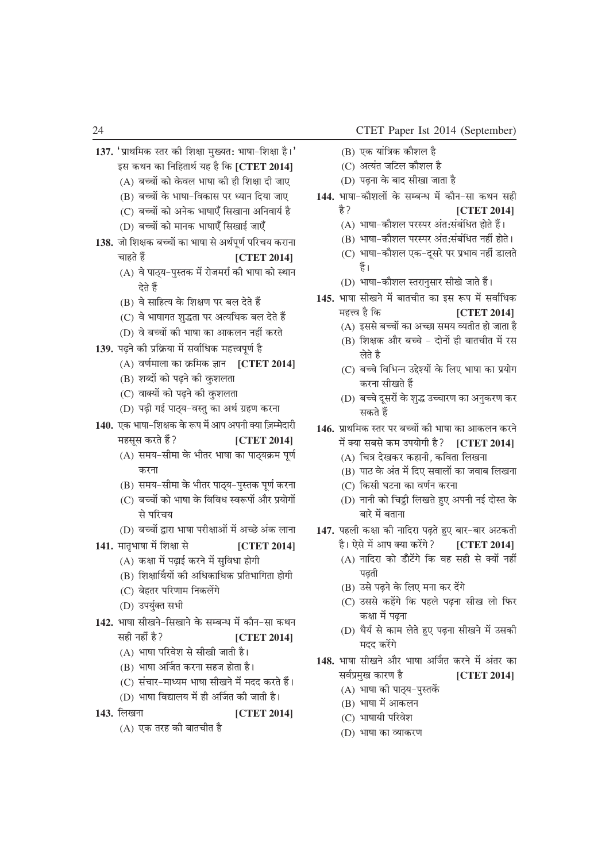- 137. 'प्राथमिक स्तर की शिक्षा मुख्यत: भाषा-शिक्षा है।' *bl dFku dk fufgrkFkZ ;g gS fd* **[CTET 2014]**
	- (A) *cPpksa dks osGoy Hkk"kk dh gh f'k{kk nh tk,*
	- (B) बच्चों के भाषा-विकास पर ध्यान दिया जाए
	- (C) बच्चों को अनेक भाषाएँ सिखाना अनिवार्य है
	- (D) बच्चों को मानक भाषाएँ सिखाई जाएँ

138. जो शिक्षक बच्चों का भाषा से अर्थपर्ण परिचय कराना चाहते हैं *particle* **EXECUTE 2014** 

- (A) वे पाठ्य-पुस्तक में रोजमर्रा की भाषा को स्थान *देते* हैं
- (B) *os lkfgR; osG f'k{k.k ij cy nsrs gSa*
- (C) वे भाषागत शुद्धता पर अत्यधिक बल देते हैं
- (D) वे बच्चों की भाषा का आकलन नहीं करते
- 139. पढ़ने की प्रक्रिया में सर्वाधिक महत्त्वपूर्ण है
	- (A) वर्णमाला का क्रमिक ज्ञान [CTET 2014]
	- (B) शब्दों को पढने की कशलता
	- (C) वाक्यों को पढ़ने की कुशलता
	- (D) पढ़ी गई पाठ्य-वस्तु का अर्थ ग्रहण करना
- 140. एक भाषा-शिक्षक के रूप में आप अपनी क्या ज़िम्मेदारी महसुस करते हैं? **[CTET 2014]** 
	- (A) समय-सीमा के भीतर भाषा का पाठयक्रम पर्ण करना
	- (B) समय-सीमा के भीतर पाठ्य-पुस्तक पूर्ण करना
	- (C) बच्चों को भाषा के विविध स्वरूपों और प्रयोगों *ls ifjp;*
	- (D) बच्चों द्वारा भाषा परीक्षाओं में अच्छे अंक लाना
- 141. मातृभाषा में शिक्षा से [CTET 2014]
	- (A) कक्षा में पढ़ाई करने में सुविधा होगी
	- (B) शिक्षार्थियों की अधिकाधिक प्रतिभागिता होगी
	- (C) बेहतर परिणाम निकलेंगे
	- (D) उपर्युक्त सभी
- **142.** *Hkk"kk lh[kus&fl[kkus osG lEcU/k esa dkSu&lk dFku* सही नहीं है? *[CTET 2014]* 
	- (A) भाषा परिवेश से सीखी जाती है।
	- (B) भाषा अर्जित करना सहज होता है।
	- (C) संचार-माध्यम भाषा सीखने में मदद करते हैं।
	- (D) भाषा विद्यालय में ही अर्जित की जाती है।
- **143.** *fy[kuk* **[CTET 2014]**
	- (A) एक तरह की बातचीत है
- (B) एक यांत्रिक कौशल है
- (C) अत्यंत जटिल कौशल है
- (D) पढ़ना के बाद सीखा जाता है
- 144. भाषा-कौशलों के सम्बन्ध में कौन-सा कथन सही  $\frac{1}{6}$ ? **[CTET 2014]** 
	- (A) भाषा-कौशल परस्पर अंत:संबंधित होते हैं।
	- (B) भाषा-कौशल परस्पर अंत:संबंधित नहीं होते।
	- (C) भाषा-कौशल एक-दूसरे पर प्रभाव नहीं डालते र्हे ।
	- (D) भाषा-कौशल स्तरानुसार सीखे जाते हैं।
- 145. भाषा सीखने में बातचीत का इस रूप में सर्वाधिक महत्त्व है कि **[CTET 2014]** 
	- (A) इससे बच्चों का अच्छा समय व्यतीत हो जाता है
	- (B) शिक्षक और बच्चे दोनों ही बातचीत में रस *लेते* है
	- (C) बच्चे विभिन्न उद्देश्यों के लिए भाषा का प्रयोग करना सीखते हैं
	- (D) बच्चे दुसरों के शुद्ध उच्चारण का अनुकरण कर सकते हैं
- 146. प्राथमिक स्तर पर बच्चों की भाषा का आकलन करने में क्या सबसे कम उपयोगी है? [CTET 2014]
	- (A) चित्र देखकर कहानी, कविता लिखना
	- (B) पाठ के अंत में दिए सवालों का जवाब लिखना
	- (C) किसी घटना का वर्णन करना
	- (D) नानी को चिट्ठी लिखते हुए अपनी नई दोस्त के बारे में बताना
- 147. पहली कक्षा की नादिरा पढ़ते हुए बार-बार अटकती है। ऐसे में आप क्या करेंगे? **[CTET 2014]** 
	- (A) *ukfnjk dks M°kVsaxs fd og lgh ls D;ksa ugha* पढती
	- (B) उसे पढ़ने के लिए मना कर देंगे
	- (C) उससे कहेंगे कि पहले पढ़ना सीख लो फिर कक्षा में पढ़ना
	- (D) धैर्य से काम लेते हुए पढ़ना सीखने में उसकी **मदद करेंगे**
- 148. भाषा सीखने और भाषा अर्जित करने में अंतर का *loZÁeq[k dkj.k gS* **[CTET 2014]**
	- (A) भाषा की पाठ्य-पस्तकें
	- (B) भाषा में आकलन
	- (C) भाषायी परिवेश
	- (D) भाषा का व्याकरण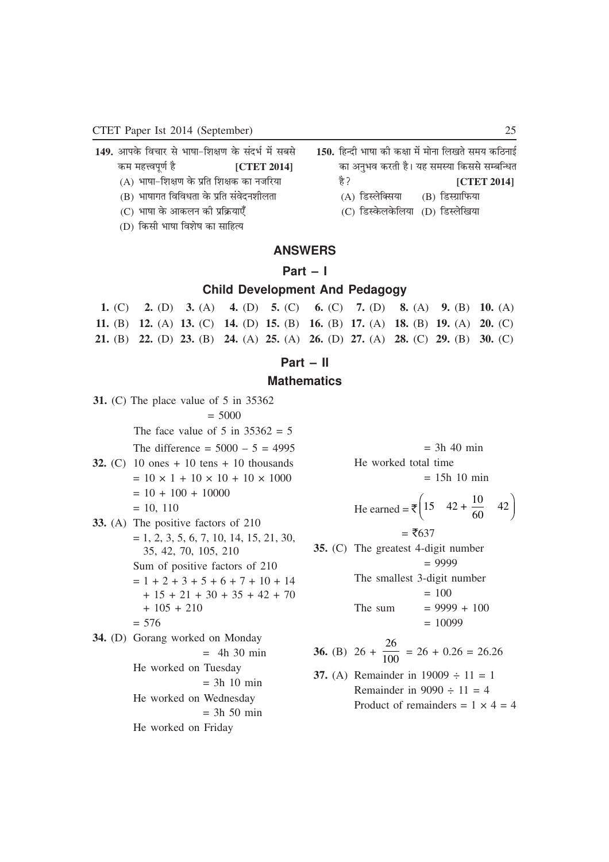- 149. आपके विचार से भाषा-शिक्षण के संदर्भ में सबसे कम महत्त्वपूर्ण है **[CTET 2014]** 
	- (A) भाषा-शिक्षण के प्रति शिक्षक का नजरिया
	- (B) भाषागत विविधता के प्रति संवेदनशीलता
	- (C) भाषा के आकलन की प्रक्रियाएँ
- 150. हिन्दी भाषा की कक्षा में मोना लिखते समय कठिनाई का अनुभव करती है। यह समस्या किससे सम्बन्धित  $\frac{1}{6}$ ? **[CTET 2014]** (A) डिस्लेक्सिया (B) डिस्ग्राफिया
	- (C) डिस्केलकेलिया (D) डिस्लेखिया

(D) किसी भाषा विशेष का साहित्य

### **ANSWERS**

### **Part – I**

### **Child Development And Pedagogy**

|  | 1. (C) 2. (D) 3. (A) 4. (D) 5. (C) 6. (C) 7. (D) 8. (A) 9. (B) 10. (A)          |  |  |  |
|--|---------------------------------------------------------------------------------|--|--|--|
|  | 11. (B) 12. (A) 13. (C) 14. (D) 15. (B) 16. (B) 17. (A) 18. (B) 19. (A) 20. (C) |  |  |  |
|  | 21. (B) 22. (D) 23. (B) 24. (A) 25. (A) 26. (D) 27. (A) 28. (C) 29. (B) 30. (C) |  |  |  |

### **Part – II**

### **Mathematics**

**31.** (C) The place value of 5 in 35362  $= 5000$ The face value of 5 in  $35362 = 5$ The difference =  $5000 - 5 = 4995$ **32.** (C) 10 ones + 10 tens + 10 thousands  $= 10 \times 1 + 10 \times 10 + 10 \times 1000$  $= 10 + 100 + 10000$  $= 10, 110$ **33.** (A) The positive factors of 210  $= 1, 2, 3, 5, 6, 7, 10, 14, 15, 21, 30,$ 35, 42, 70, 105, 210 Sum of positive factors of 210  $= 1 + 2 + 3 + 5 + 6 + 7 + 10 + 14$  $+ 15 + 21 + 30 + 35 + 42 + 70$  $+ 105 + 210$  $= 576$ **34.** (D) Gorang worked on Monday  $=$  4h 30 min He worked on Tuesday  $= 3h$  10 min He worked on Wednesday  $= 3h 50 min$ He worked on Friday

 $=$  3h 40 min He worked total time  $= 15h 10 min$ 

He earned = 
$$
\bar{\xi} \left( 15 + 42 + \frac{10}{60} + 42 \right)
$$
  
=  $\bar{\xi} 637$ 

**35.** (C) The greatest 4-digit number = 9999 The smallest 3-digit number = 100 The sum = 9999 + 100 = 10099

**36.** (B) 
$$
26 + \frac{26}{100} = 26 + 0.26 = 26.26
$$

37. (A) Remainder in 19009 ÷ 11 = 1  
Remainder in 9090 ÷ 11 = 4  
Product of remainders = 
$$
1 \times 4 = 4
$$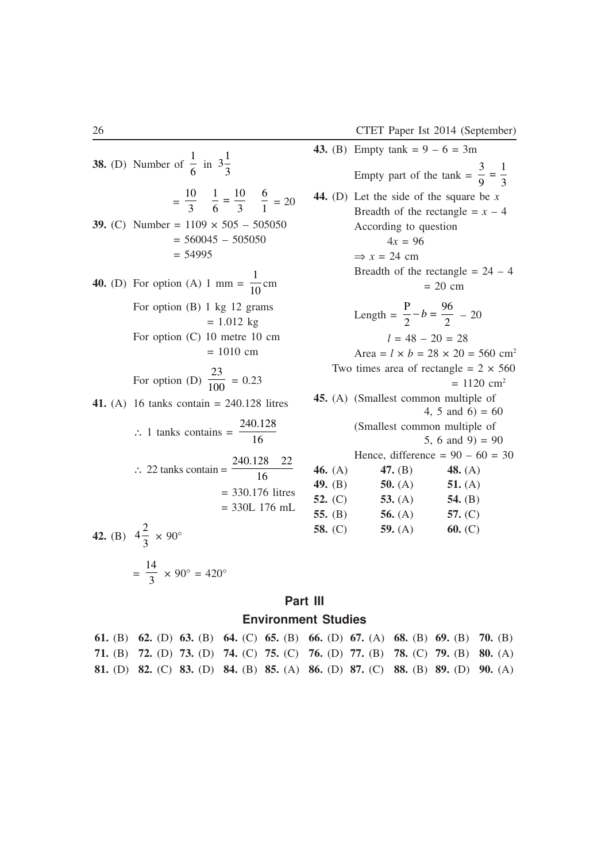3 9

1 3 =

**43.** (B) Empty tank =  $9 - 6 = 3m$ 

Empty part of the  $tanh =$ 

**44.** (D) Let the side of the square be *x*

**38.** (D) Number of 1  $\frac{1}{6}$  in  $3\frac{1}{3}$ 3 = 10 3 1 6 10 3 6  $\frac{1}{6} = \frac{10}{3}$   $\frac{0}{1} = 20$ **39.** (C) Number =  $1109 \times 505 - 505050$  $= 560045 - 505050$  $= 54995$ **40.** (D) For option (A) 1 mm = 1  $\frac{1}{10}$  cm For option (B) 1 kg 12 grams  $= 1.012$  kg For option (C) 10 metre 10 cm = 1010 cm For option (D) 23  $\frac{1}{100}$  = 0.23 **41.** (A) 16 tanks contain = 240.128 litres ∴ 1 tanks contains  $=$ 240 128 16 . ∴ 22 tanks contain  $=$ 240 128 16 . 128 22 = 330.176 litres = 330L 176 mL **42.** (B)  $4\frac{2}{3}$  $\frac{1}{3} \times 90^{\circ}$ 

$$
=\frac{14}{3} \times 90^\circ = 420^\circ
$$

### **Part III**

#### **Environment Studies**

**61.** (B) **62.** (D) **63.** (B) **64.** (C) **65.** (B) **66.** (D) **67.** (A) **68.** (B) **69.** (B) **70.** (B) **71.** (B) **72.** (D) **73.** (D) **74.** (C) **75.** (C) **76.** (D) **77.** (B) **78.** (C) **79.** (B) **80.** (A) **81.** (D) **82.** (C) **83.** (D) **84.** (B) **85.** (A) **86.** (D) **87.** (C) **88.** (B) **89.** (D) **90.** (A)

According to question  
\n
$$
4x = 96
$$
  
\n $\Rightarrow x = 24$  cm  
\nBreadth of the rectangle = 24 - 4

Breadth of the rectangle  $= x - 4$ 

$$
= 20 \, \text{cm}
$$

Length  $=$  $P = -b =$ 2 96  $-b = \frac{90}{2} - 20$  $l - 48 - 20 - 28$ 

$$
t = 48 - 20 - 26
$$
  
Area =  $l \times b = 28 \times 20 = 560$  cm<sup>2</sup>

Two times area of rectangle =  $2 \times 560$  $= 1120$  cm<sup>2</sup> **45.** (A) (Smallest common multiple of 4, 5 and 6) =  $60$ (Smallest common multiple of

5, 6 and 9) =  $90$ 

Hence, difference =  $90 - 60 = 30$ 

| 46. $(A)$ | 47. $(B)$ | 48. $(A)$ |
|-----------|-----------|-----------|
| 49. $(B)$ | 50. $(A)$ | 51. $(A)$ |
| 52. $(C)$ | 53. $(A)$ | 54. $(B)$ |
| 55. $(B)$ | 56. $(A)$ | 57. $(C)$ |
| 58. $(C)$ | 59. $(A)$ | 60. (C)   |